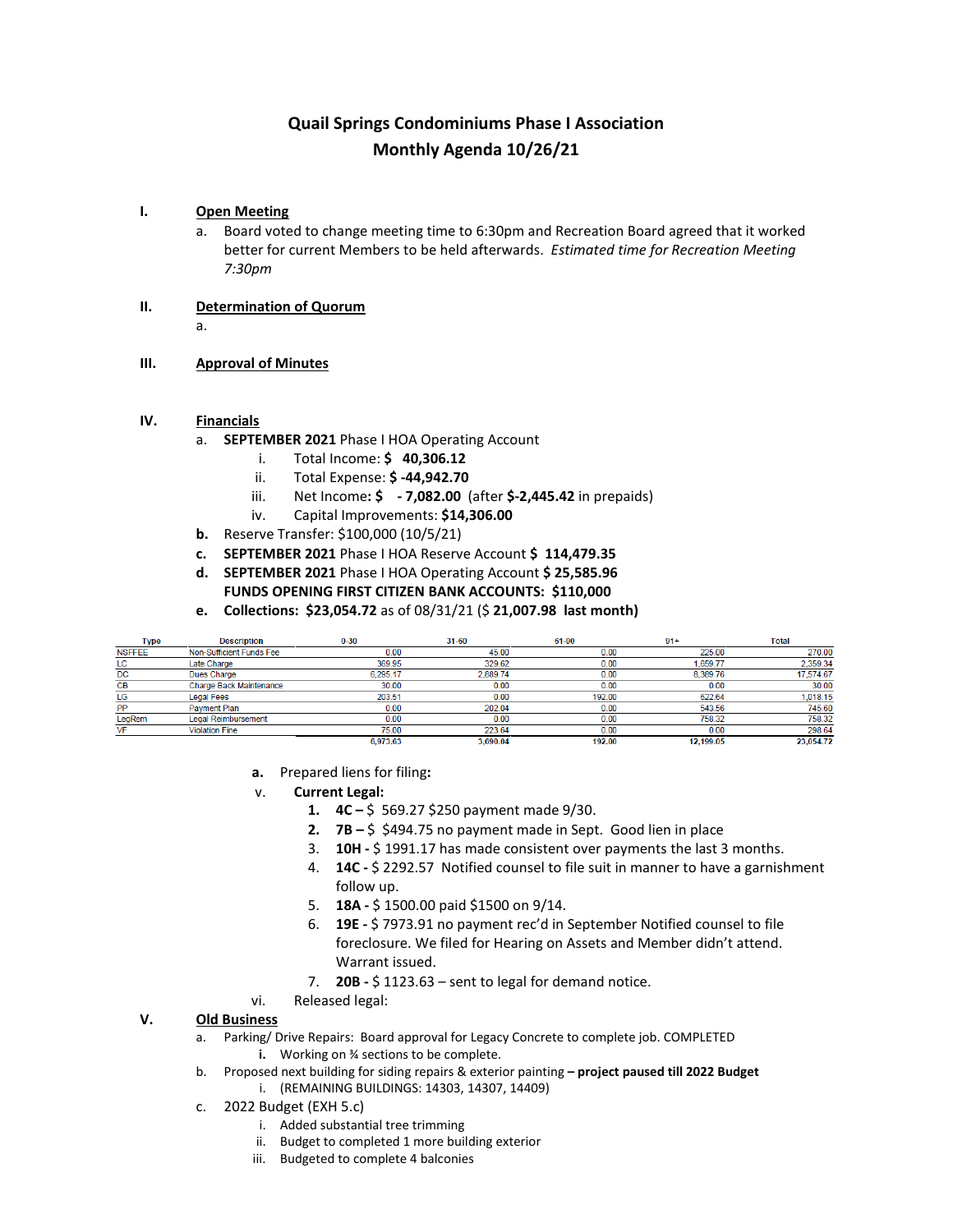## **Quail Springs Condominiums Phase I Association Monthly Agenda 10/26/21**

### **I. Open Meeting**

- a. Board voted to change meeting time to 6:30pm and Recreation Board agreed that it worked better for current Members to be held afterwards. *Estimated time for Recreation Meeting 7:30pm*
- **II. Determination of Quorum**
	- a.
- **III. Approval of Minutes**

### **IV. Financials**

- a. **SEPTEMBER 2021** Phase I HOA Operating Account
	- i. Total Income: **\$ 40,306.12**
	- ii. Total Expense: **\$ -44,942.70**
	- iii. Net Income**: \$ - 7,082.00** (after **\$-2,445.42** in prepaids)
	- iv. Capital Improvements: **\$14,306.00**
- **b.** Reserve Transfer: \$100,000 (10/5/21)
- **c. SEPTEMBER 2021** Phase I HOA Reserve Account **\$ 114,479.35**
- **d. SEPTEMBER 2021** Phase I HOA Operating Account **\$ 25,585.96 FUNDS OPENING FIRST CITIZEN BANK ACCOUNTS: \$110,000**
- **e. Collections: \$23,054.72** as of 08/31/21 (\$ **21,007.98 last month)**

| Type          | <b>Description</b>         | $0 - 30$ | 31-60    | 61-90  | $91+$     | <b>Total</b> |
|---------------|----------------------------|----------|----------|--------|-----------|--------------|
| <b>NSFFEE</b> | Non-Sufficient Funds Fee   | 0.00     | 45.00    | 0.00   | 225.00    | 270.00       |
| LC            | Late Charge                | 369.95   | 329.62   | 0.00   | 1,659.77  | 2.359.34     |
| DC            | Dues Charge                | 6.295.17 | 2,889.74 | 0.00   | 8.389.76  | 17,574.67    |
| CВ            | Charge Back Maintenance    | 30.00    | 0.00     | 0.00   | 0.00      | 30.00        |
| LG            | <b>Legal Fees</b>          | 203.51   | 0.00     | 192.00 | 622.64    | 1,018.15     |
| PP            | Payment Plan               | 0.00     | 202.04   | 0.00   | 543.56    | 745.60       |
| LegRem        | <b>Legal Reimbursement</b> | 0.00     | 0.00     | 0.00   | 758.32    | 758.32       |
| VF            | <b>Violation Fine</b>      | 75.00    | 223.64   | 0.00   | 0.00      | 298.64       |
|               |                            | 6,973.63 | 3,690.04 | 192.00 | 12.199.05 | 23,054.72    |

- **a.** Prepared liens for filing**:**
- v. **Current Legal:**
	- **1. 4C –** \$ 569.27 \$250 payment made 9/30.
	- **2. 7B –** \$ \$494.75 no payment made in Sept. Good lien in place
	- 3. **10H -** \$ 1991.17 has made consistent over payments the last 3 months.
	- 4. **14C -** \$ 2292.57 Notified counsel to file suit in manner to have a garnishment follow up.
	- 5. **18A -** \$ 1500.00 paid \$1500 on 9/14.
	- 6. **19E -** \$ 7973.91 no payment rec'd in September Notified counsel to file foreclosure. We filed for Hearing on Assets and Member didn't attend. Warrant issued.
	- 7. **20B -** \$ 1123.63 sent to legal for demand notice.
- vi. Released legal:

### **V. Old Business**

- a. Parking/ Drive Repairs: Board approval for Legacy Concrete to complete job. COMPLETED **i.** Working on ¾ sections to be complete.
- b. Proposed next building for siding repairs & exterior painting **– project paused till 2022 Budget**
	- i. (REMAINING BUILDINGS: 14303, 14307, 14409)
- c. 2022 Budget (EXH 5.c)
	- i. Added substantial tree trimming
	- ii. Budget to completed 1 more building exterior
	- iii. Budgeted to complete 4 balconies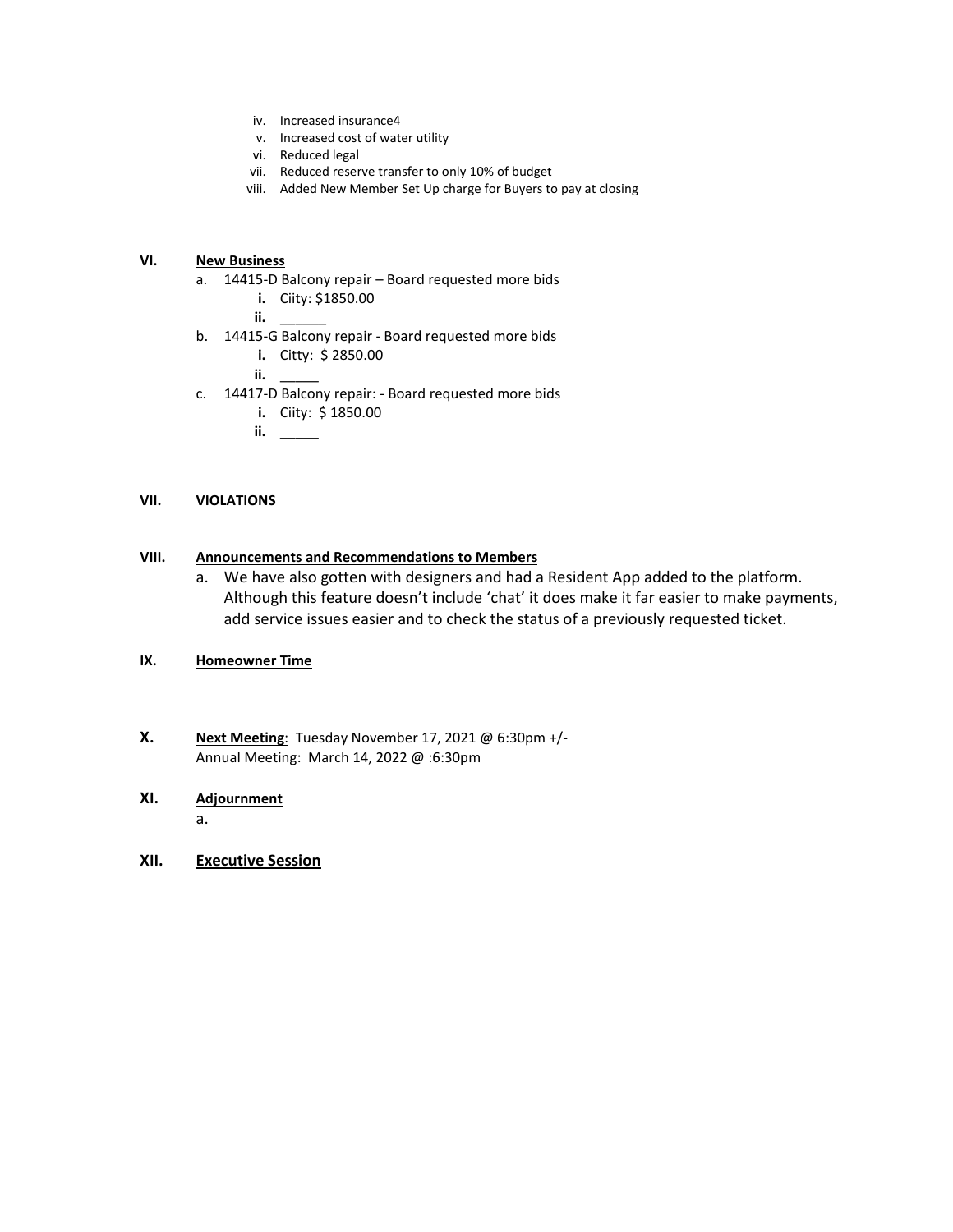- iv. Increased insurance4
- v. Increased cost of water utility
- vi. Reduced legal
- vii. Reduced reserve transfer to only 10% of budget
- viii. Added New Member Set Up charge for Buyers to pay at closing

### **VI. New Business**

- a. 14415-D Balcony repair Board requested more bids
	- **i.** Ciity: \$1850.00
	- **ii.** \_\_\_\_\_\_
- b. 14415-G Balcony repair Board requested more bids
	- **i.** Citty: \$ 2850.00
	- **ii.** \_\_\_\_\_
- c. 14417-D Balcony repair: Board requested more bids
	- **i.** Ciity: \$ 1850.00
	- **ii.** \_\_\_\_\_

### **VII. VIOLATIONS**

### **VIII. Announcements and Recommendations to Members**

a. We have also gotten with designers and had a Resident App added to the platform. Although this feature doesn't include 'chat' it does make it far easier to make payments, add service issues easier and to check the status of a previously requested ticket.

### **IX. Homeowner Time**

**X. Next Meeting**: Tuesday November 17, 2021 @ 6:30pm +/- Annual Meeting: March 14, 2022 @ :6:30pm

### **XI. Adjournment**

a.

**XII. Executive Session**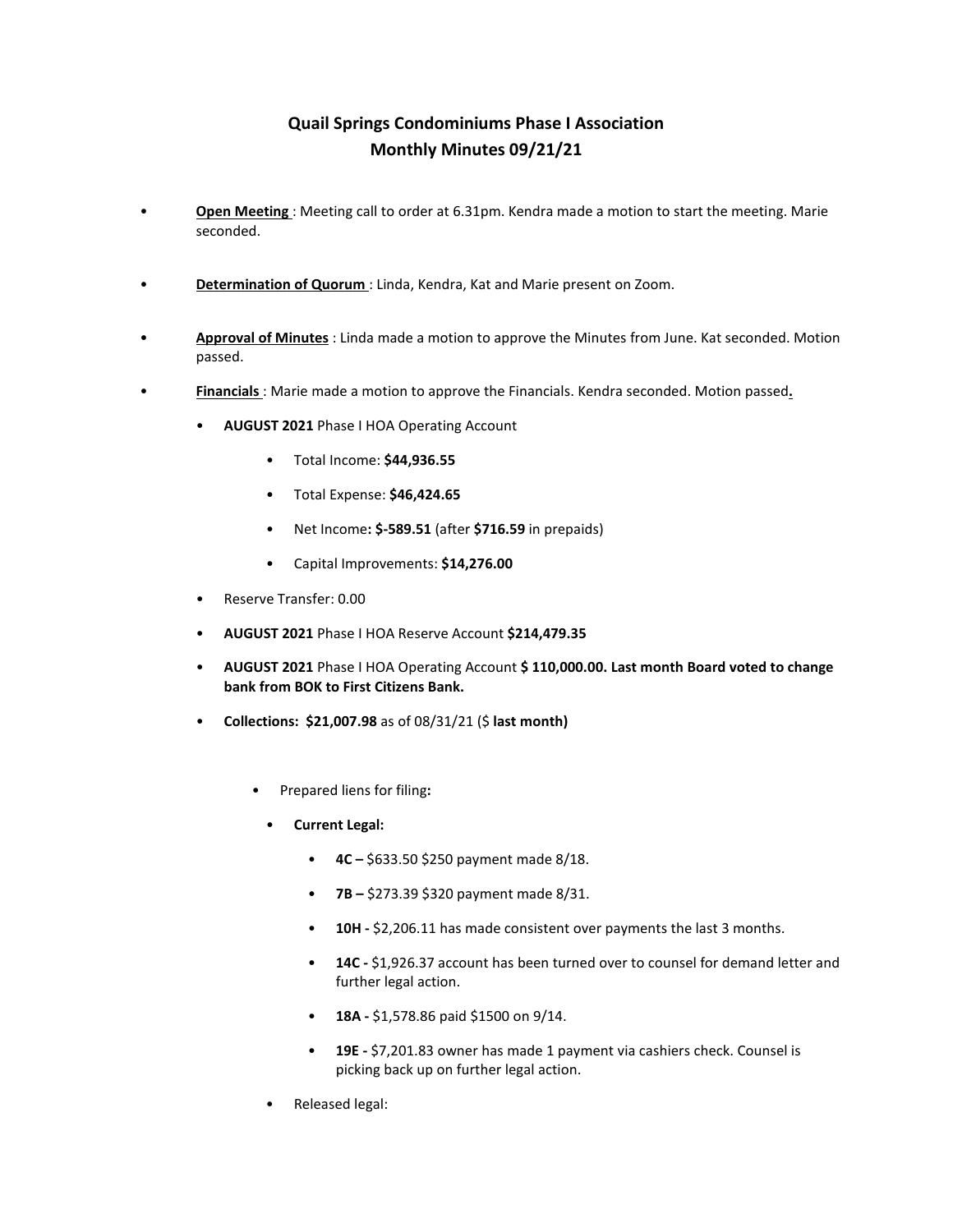## **Quail Springs Condominiums Phase I Association Monthly Minutes 09/21/21**

- **Open Meeting** : Meeting call to order at 6.31pm. Kendra made a motion to start the meeting. Marie seconded.
- **Determination of Quorum** : Linda, Kendra, Kat and Marie present on Zoom.
- **Approval of Minutes** : Linda made a motion to approve the Minutes from June. Kat seconded. Motion passed.
- **Financials** : Marie made a motion to approve the Financials. Kendra seconded. Motion passed**.**
	- **AUGUST 2021** Phase I HOA Operating Account
		- Total Income: **\$44,936.55**
		- Total Expense: **\$46,424.65**
		- Net Income**: \$-589.51** (after **\$716.59** in prepaids)
		- Capital Improvements: **\$14,276.00**
	- Reserve Transfer: 0.00
	- **AUGUST 2021** Phase I HOA Reserve Account **\$214,479.35**
	- **AUGUST 2021** Phase I HOA Operating Account **\$ 110,000.00. Last month Board voted to change bank from BOK to First Citizens Bank.**
	- **Collections: \$21,007.98** as of 08/31/21 (\$ **last month)**
		- Prepared liens for filing**:**
			- **Current Legal:**
				- **4C** \$633.50 \$250 payment made 8/18.
				- **7B** \$273.39 \$320 payment made 8/31.
				- **10H** \$2,206.11 has made consistent over payments the last 3 months.
				- **14C** \$1,926.37 account has been turned over to counsel for demand letter and further legal action.
				- **18A -** \$1,578.86 paid \$1500 on 9/14.
				- **19E -** \$7,201.83 owner has made 1 payment via cashiers check. Counsel is picking back up on further legal action.
			- Released legal: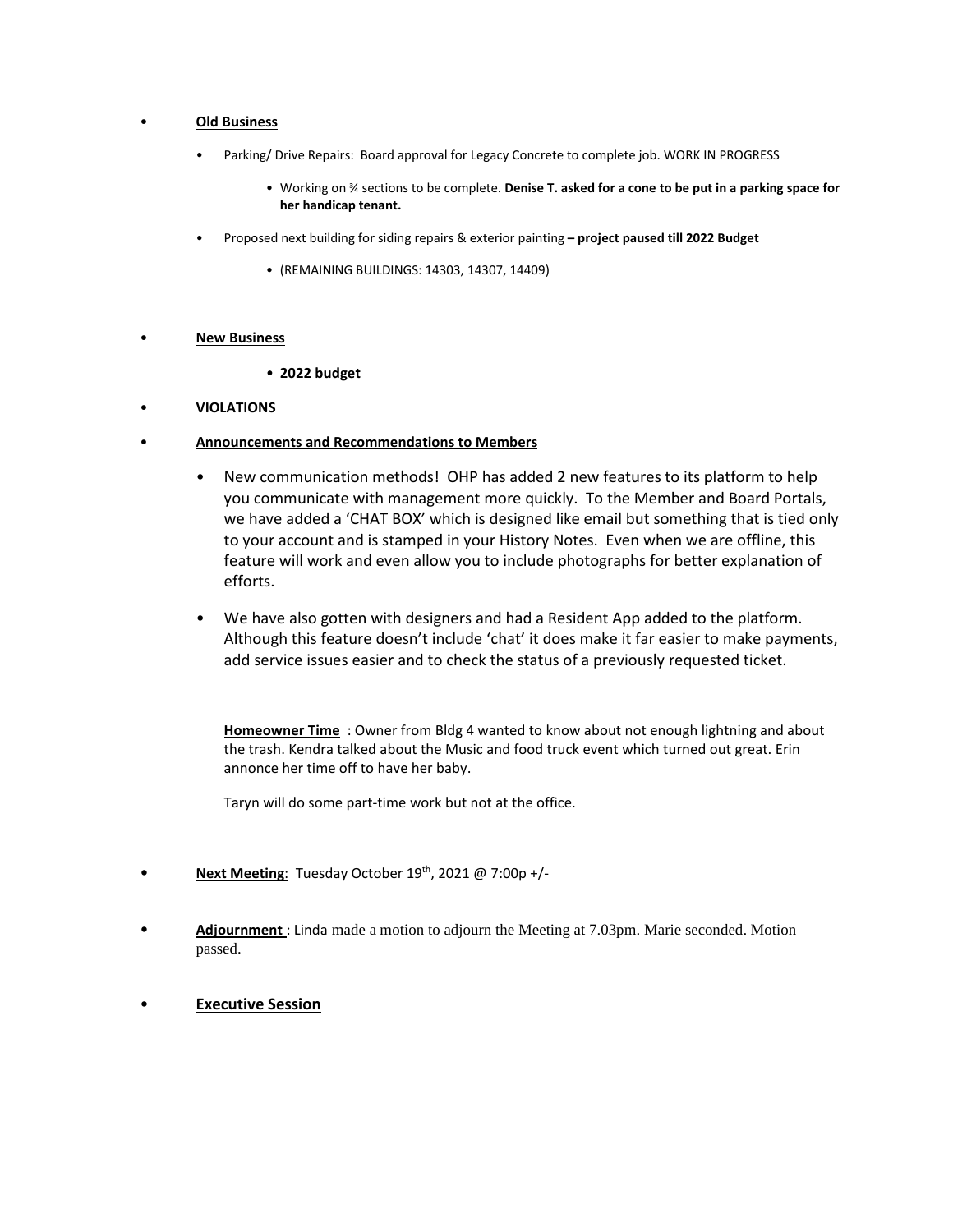### • **Old Business**

- Parking/ Drive Repairs: Board approval for Legacy Concrete to complete job. WORK IN PROGRESS
	- Working on ¾ sections to be complete. **Denise T. asked for a cone to be put in a parking space for her handicap tenant.**
- Proposed next building for siding repairs & exterior painting **– project paused till 2022 Budget**
	- (REMAINING BUILDINGS: 14303, 14307, 14409)

### • **New Business**

- **2022 budget**
- **VIOLATIONS**
- **Announcements and Recommendations to Members**
	- New communication methods! OHP has added 2 new features to its platform to help you communicate with management more quickly. To the Member and Board Portals, we have added a 'CHAT BOX' which is designed like email but something that is tied only to your account and is stamped in your History Notes. Even when we are offline, this feature will work and even allow you to include photographs for better explanation of efforts.
	- We have also gotten with designers and had a Resident App added to the platform. Although this feature doesn't include 'chat' it does make it far easier to make payments, add service issues easier and to check the status of a previously requested ticket.

**Homeowner Time** : Owner from Bldg 4 wanted to know about not enough lightning and about the trash. Kendra talked about the Music and food truck event which turned out great. Erin annonce her time off to have her baby.

Taryn will do some part-time work but not at the office.

- **Next Meeting:** Tuesday October 19<sup>th</sup>, 2021 @ 7:00p +/-
- **Adjournment** : Linda made a motion to adjourn the Meeting at 7.03pm. Marie seconded. Motion passed.
- **Executive Session**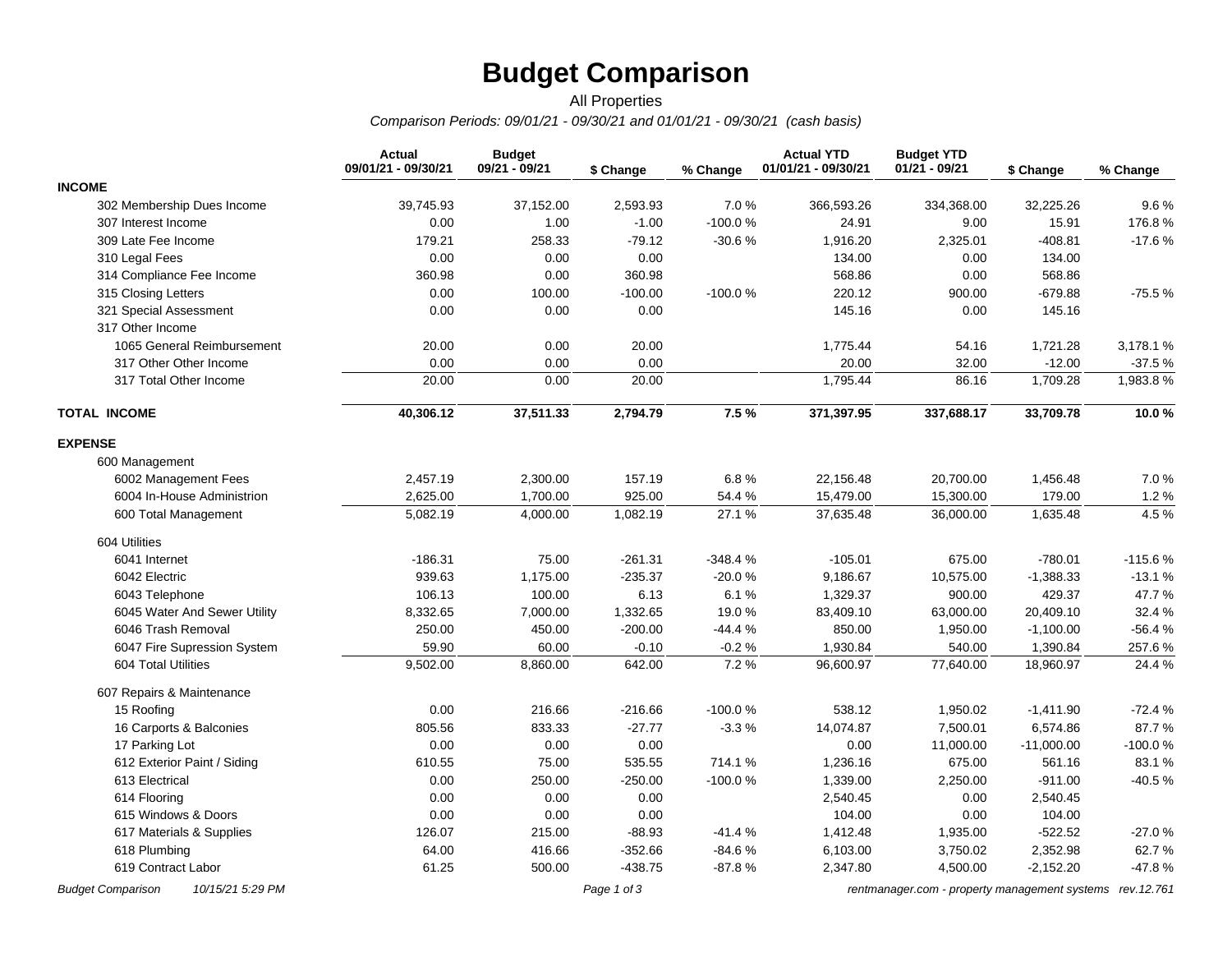# **Budget Comparison**

### *Comparison Periods: 09/01/21 - 09/30/21 and 01/01/21 - 09/30/21 (cash basis)* All Properties

|                              | <b>Actual</b><br>09/01/21 - 09/30/21 | <b>Budget</b><br>09/21 - 09/21 | \$ Change | % Change  | <b>Actual YTD</b><br>01/01/21 - 09/30/21 | <b>Budget YTD</b><br>$01/21 - 09/21$ | \$ Change    | % Change  |
|------------------------------|--------------------------------------|--------------------------------|-----------|-----------|------------------------------------------|--------------------------------------|--------------|-----------|
| <b>INCOME</b>                |                                      |                                |           |           |                                          |                                      |              |           |
| 302 Membership Dues Income   | 39,745.93                            | 37,152.00                      | 2,593.93  | 7.0%      | 366,593.26                               | 334,368.00                           | 32,225.26    | 9.6%      |
| 307 Interest Income          | 0.00                                 | 1.00                           | $-1.00$   | $-100.0%$ | 24.91                                    | 9.00                                 | 15.91        | 176.8%    |
| 309 Late Fee Income          | 179.21                               | 258.33                         | $-79.12$  | $-30.6%$  | 1,916.20                                 | 2,325.01                             | $-408.81$    | $-17.6%$  |
| 310 Legal Fees               | 0.00                                 | 0.00                           | 0.00      |           | 134.00                                   | 0.00                                 | 134.00       |           |
| 314 Compliance Fee Income    | 360.98                               | 0.00                           | 360.98    |           | 568.86                                   | 0.00                                 | 568.86       |           |
| 315 Closing Letters          | 0.00                                 | 100.00                         | $-100.00$ | $-100.0%$ | 220.12                                   | 900.00                               | $-679.88$    | $-75.5%$  |
| 321 Special Assessment       | 0.00                                 | 0.00                           | 0.00      |           | 145.16                                   | 0.00                                 | 145.16       |           |
| 317 Other Income             |                                      |                                |           |           |                                          |                                      |              |           |
| 1065 General Reimbursement   | 20.00                                | 0.00                           | 20.00     |           | 1,775.44                                 | 54.16                                | 1,721.28     | 3,178.1%  |
| 317 Other Other Income       | 0.00                                 | 0.00                           | 0.00      |           | 20.00                                    | 32.00                                | $-12.00$     | $-37.5%$  |
| 317 Total Other Income       | 20.00                                | 0.00                           | 20.00     |           | 1,795.44                                 | 86.16                                | 1,709.28     | 1,983.8%  |
| <b>TOTAL INCOME</b>          | 40,306.12                            | 37,511.33                      | 2,794.79  | 7.5%      | 371,397.95                               | 337,688.17                           | 33,709.78    | 10.0%     |
| <b>EXPENSE</b>               |                                      |                                |           |           |                                          |                                      |              |           |
| 600 Management               |                                      |                                |           |           |                                          |                                      |              |           |
| 6002 Management Fees         | 2,457.19                             | 2,300.00                       | 157.19    | 6.8%      | 22,156.48                                | 20,700.00                            | 1,456.48     | 7.0%      |
| 6004 In-House Administrion   | 2,625.00                             | 1,700.00                       | 925.00    | 54.4%     | 15,479.00                                | 15,300.00                            | 179.00       | 1.2%      |
| 600 Total Management         | 5,082.19                             | 4,000.00                       | 1,082.19  | 27.1%     | 37,635.48                                | 36,000.00                            | 1,635.48     | 4.5 %     |
| 604 Utilities                |                                      |                                |           |           |                                          |                                      |              |           |
| 6041 Internet                | $-186.31$                            | 75.00                          | $-261.31$ | $-348.4%$ | $-105.01$                                | 675.00                               | $-780.01$    | $-115.6%$ |
| 6042 Electric                | 939.63                               | 1,175.00                       | $-235.37$ | $-20.0%$  | 9,186.67                                 | 10,575.00                            | $-1,388.33$  | $-13.1%$  |
| 6043 Telephone               | 106.13                               | 100.00                         | 6.13      | 6.1%      | 1,329.37                                 | 900.00                               | 429.37       | 47.7%     |
| 6045 Water And Sewer Utility | 8,332.65                             | 7,000.00                       | 1,332.65  | 19.0%     | 83,409.10                                | 63,000.00                            | 20,409.10    | 32.4 %    |
| 6046 Trash Removal           | 250.00                               | 450.00                         | $-200.00$ | $-44.4%$  | 850.00                                   | 1,950.00                             | $-1,100.00$  | $-56.4%$  |
| 6047 Fire Supression System  | 59.90                                | 60.00                          | $-0.10$   | $-0.2%$   | 1,930.84                                 | 540.00                               | 1,390.84     | 257.6%    |
| 604 Total Utilities          | 9,502.00                             | 8,860.00                       | 642.00    | 7.2%      | 96,600.97                                | 77,640.00                            | 18,960.97    | 24.4 %    |
| 607 Repairs & Maintenance    |                                      |                                |           |           |                                          |                                      |              |           |
| 15 Roofing                   | 0.00                                 | 216.66                         | $-216.66$ | $-100.0%$ | 538.12                                   | 1,950.02                             | $-1,411.90$  | $-72.4%$  |
| 16 Carports & Balconies      | 805.56                               | 833.33                         | $-27.77$  | $-3.3%$   | 14,074.87                                | 7,500.01                             | 6,574.86     | 87.7%     |
| 17 Parking Lot               | 0.00                                 | 0.00                           | 0.00      |           | 0.00                                     | 11,000.00                            | $-11,000.00$ | $-100.0%$ |
| 612 Exterior Paint / Siding  | 610.55                               | 75.00                          | 535.55    | 714.1 %   | 1,236.16                                 | 675.00                               | 561.16       | 83.1 %    |
| 613 Electrical               | 0.00                                 | 250.00                         | $-250.00$ | $-100.0%$ | 1,339.00                                 | 2,250.00                             | $-911.00$    | $-40.5%$  |
| 614 Flooring                 | 0.00                                 | 0.00                           | 0.00      |           | 2,540.45                                 | 0.00                                 | 2,540.45     |           |
| 615 Windows & Doors          | 0.00                                 | 0.00                           | 0.00      |           | 104.00                                   | 0.00                                 | 104.00       |           |
| 617 Materials & Supplies     | 126.07                               | 215.00                         | $-88.93$  | $-41.4%$  | 1,412.48                                 | 1,935.00                             | $-522.52$    | $-27.0%$  |
| 618 Plumbing                 | 64.00                                | 416.66                         | $-352.66$ | $-84.6%$  | 6,103.00                                 | 3,750.02                             | 2,352.98     | 62.7%     |
| 619 Contract Labor           | 61.25                                | 500.00                         | $-438.75$ | $-87.8%$  | 2,347.80                                 | 4,500.00                             | $-2,152.20$  | -47.8%    |

*Budget Comparison 10/15/21 5:29 PM Page 1 of 3 [rentmanager.com - property management systems rev.12.761](http://www.rentmanager.com)*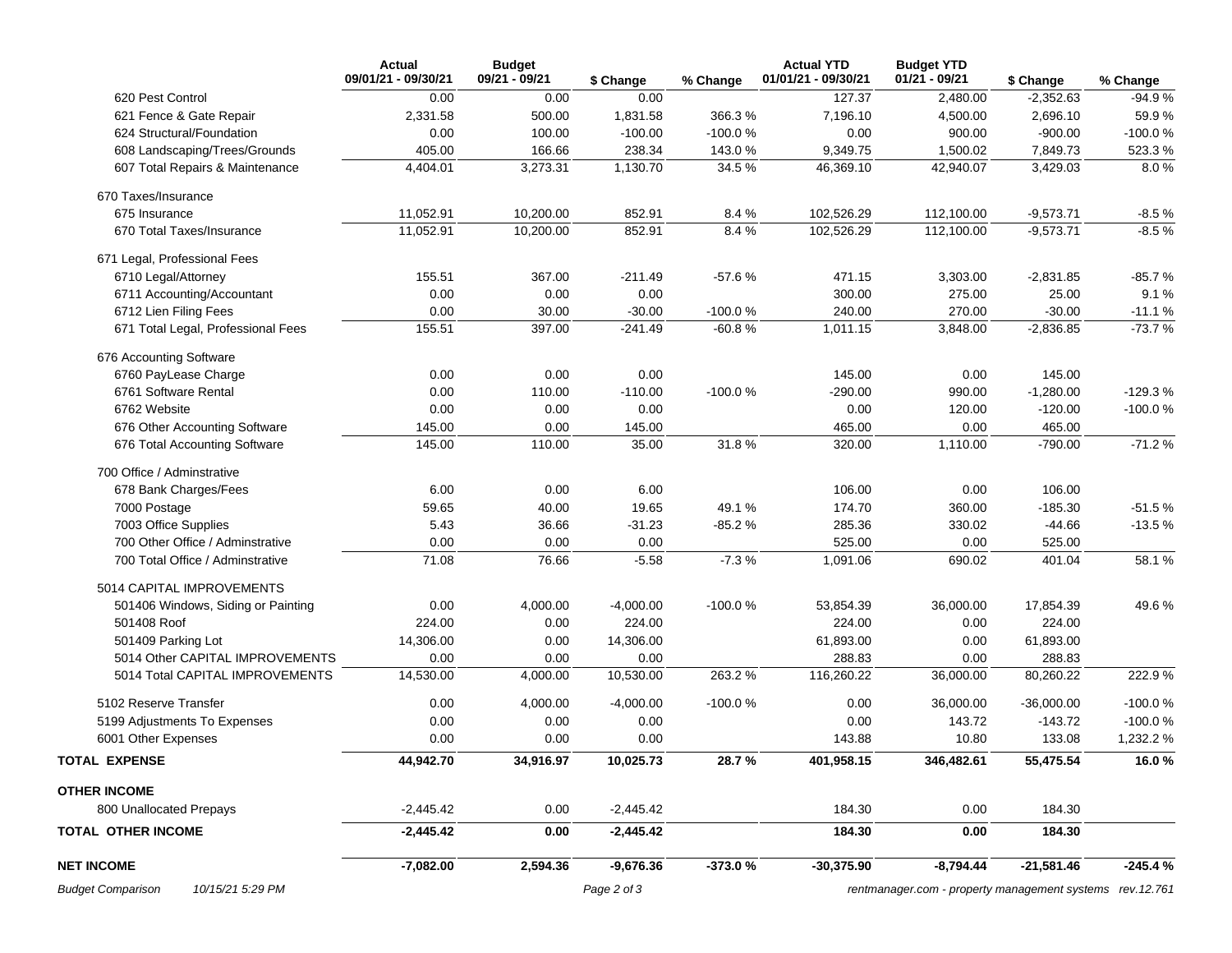|                                              | Actual<br>09/01/21 - 09/30/21 | <b>Budget</b><br>09/21 - 09/21 |             |           | <b>Actual YTD</b><br>01/01/21 - 09/30/21 | <b>Budget YTD</b><br>$01/21 - 09/21$                      |              |           |
|----------------------------------------------|-------------------------------|--------------------------------|-------------|-----------|------------------------------------------|-----------------------------------------------------------|--------------|-----------|
|                                              |                               |                                | \$ Change   | % Change  |                                          |                                                           | \$ Change    | % Change  |
| 620 Pest Control                             | 0.00                          | 0.00                           | 0.00        |           | 127.37                                   | 2,480.00                                                  | $-2,352.63$  | $-94.9%$  |
| 621 Fence & Gate Repair                      | 2,331.58                      | 500.00                         | 1,831.58    | 366.3%    | 7,196.10                                 | 4,500.00                                                  | 2,696.10     | 59.9%     |
| 624 Structural/Foundation                    | 0.00                          | 100.00                         | $-100.00$   | $-100.0%$ | 0.00                                     | 900.00                                                    | $-900.00$    | $-100.0%$ |
| 608 Landscaping/Trees/Grounds                | 405.00                        | 166.66                         | 238.34      | 143.0%    | 9,349.75                                 | 1,500.02                                                  | 7,849.73     | 523.3%    |
| 607 Total Repairs & Maintenance              | 4,404.01                      | 3,273.31                       | 1,130.70    | 34.5%     | 46,369.10                                | 42,940.07                                                 | 3,429.03     | 8.0%      |
| 670 Taxes/Insurance                          |                               |                                |             |           |                                          |                                                           |              |           |
| 675 Insurance                                | 11,052.91                     | 10,200.00                      | 852.91      | 8.4%      | 102,526.29                               | 112,100.00                                                | $-9,573.71$  | $-8.5%$   |
| 670 Total Taxes/Insurance                    | 11,052.91                     | 10,200.00                      | 852.91      | 8.4%      | 102,526.29                               | 112,100.00                                                | $-9,573.71$  | $-8.5%$   |
| 671 Legal, Professional Fees                 |                               |                                |             |           |                                          |                                                           |              |           |
| 6710 Legal/Attorney                          | 155.51                        | 367.00                         | $-211.49$   | $-57.6%$  | 471.15                                   | 3,303.00                                                  | $-2,831.85$  | $-85.7%$  |
| 6711 Accounting/Accountant                   | 0.00                          | 0.00                           | 0.00        |           | 300.00                                   | 275.00                                                    | 25.00        | 9.1%      |
| 6712 Lien Filing Fees                        | 0.00                          | 30.00                          | $-30.00$    | $-100.0%$ | 240.00                                   | 270.00                                                    | $-30.00$     | $-11.1%$  |
| 671 Total Legal, Professional Fees           | 155.51                        | 397.00                         | $-241.49$   | $-60.8%$  | 1,011.15                                 | 3,848.00                                                  | $-2,836.85$  | $-73.7%$  |
| 676 Accounting Software                      |                               |                                |             |           |                                          |                                                           |              |           |
| 6760 PayLease Charge                         | 0.00                          | 0.00                           | 0.00        |           | 145.00                                   | 0.00                                                      | 145.00       |           |
| 6761 Software Rental                         | 0.00                          | 110.00                         | $-110.00$   | $-100.0%$ | $-290.00$                                | 990.00                                                    | $-1,280.00$  | $-129.3%$ |
| 6762 Website                                 | 0.00                          | 0.00                           | 0.00        |           | 0.00                                     | 120.00                                                    | $-120.00$    | $-100.0%$ |
| 676 Other Accounting Software                | 145.00                        | 0.00                           | 145.00      |           | 465.00                                   | 0.00                                                      | 465.00       |           |
| 676 Total Accounting Software                | 145.00                        | 110.00                         | 35.00       | 31.8%     | 320.00                                   | 1,110.00                                                  | $-790.00$    | $-71.2%$  |
| 700 Office / Adminstrative                   |                               |                                |             |           |                                          |                                                           |              |           |
| 678 Bank Charges/Fees                        | 6.00                          | 0.00                           | 6.00        |           | 106.00                                   | 0.00                                                      | 106.00       |           |
| 7000 Postage                                 | 59.65                         | 40.00                          | 19.65       | 49.1%     | 174.70                                   | 360.00                                                    | $-185.30$    | $-51.5%$  |
| 7003 Office Supplies                         | 5.43                          | 36.66                          | $-31.23$    | $-85.2%$  | 285.36                                   | 330.02                                                    | $-44.66$     | $-13.5%$  |
| 700 Other Office / Adminstrative             | 0.00                          | 0.00                           | 0.00        |           | 525.00                                   | 0.00                                                      | 525.00       |           |
| 700 Total Office / Adminstrative             | 71.08                         | 76.66                          | $-5.58$     | $-7.3%$   | 1,091.06                                 | 690.02                                                    | 401.04       | 58.1%     |
| 5014 CAPITAL IMPROVEMENTS                    |                               |                                |             |           |                                          |                                                           |              |           |
| 501406 Windows, Siding or Painting           | 0.00                          | 4,000.00                       | $-4,000.00$ | $-100.0%$ | 53,854.39                                | 36,000.00                                                 | 17,854.39    | 49.6 %    |
| 501408 Roof                                  | 224.00                        | 0.00                           | 224.00      |           | 224.00                                   | 0.00                                                      | 224.00       |           |
| 501409 Parking Lot                           | 14,306.00                     | 0.00                           | 14,306.00   |           | 61,893.00                                | 0.00                                                      | 61,893.00    |           |
| 5014 Other CAPITAL IMPROVEMENTS              | 0.00                          | 0.00                           | 0.00        |           | 288.83                                   | 0.00                                                      | 288.83       |           |
| 5014 Total CAPITAL IMPROVEMENTS              | 14,530.00                     | 4,000.00                       | 10,530.00   | 263.2%    | 116,260.22                               | 36,000.00                                                 | 80,260.22    | 222.9%    |
| 5102 Reserve Transfer                        | 0.00                          | 4,000.00                       | $-4,000.00$ | $-100.0%$ | 0.00                                     | 36,000.00                                                 | $-36,000.00$ | $-100.0%$ |
| 5199 Adjustments To Expenses                 | 0.00                          | 0.00                           | 0.00        |           | 0.00                                     | 143.72                                                    | $-143.72$    | $-100.0%$ |
| 6001 Other Expenses                          | 0.00                          | 0.00                           | 0.00        |           | 143.88                                   | 10.80                                                     | 133.08       | 1,232.2 % |
| <b>TOTAL EXPENSE</b>                         | 44,942.70                     | 34,916.97                      | 10,025.73   | 28.7%     | 401,958.15                               | 346,482.61                                                | 55,475.54    | 16.0%     |
| <b>OTHER INCOME</b>                          |                               |                                |             |           |                                          |                                                           |              |           |
| 800 Unallocated Prepays                      | $-2,445.42$                   | 0.00                           | $-2,445.42$ |           | 184.30                                   | 0.00                                                      | 184.30       |           |
| <b>TOTAL OTHER INCOME</b>                    | $-2,445.42$                   | 0.00                           | $-2,445.42$ |           | 184.30                                   | 0.00                                                      | 184.30       |           |
| <b>NET INCOME</b>                            | $-7,082.00$                   | 2,594.36                       | $-9,676.36$ | -373.0%   | $-30,375.90$                             | $-8,794.44$                                               | $-21,581.46$ | $-245.4%$ |
| <b>Budget Comparison</b><br>10/15/21 5:29 PM |                               |                                | Page 2 of 3 |           |                                          | rentmanager.com - property management systems rev. 12.761 |              |           |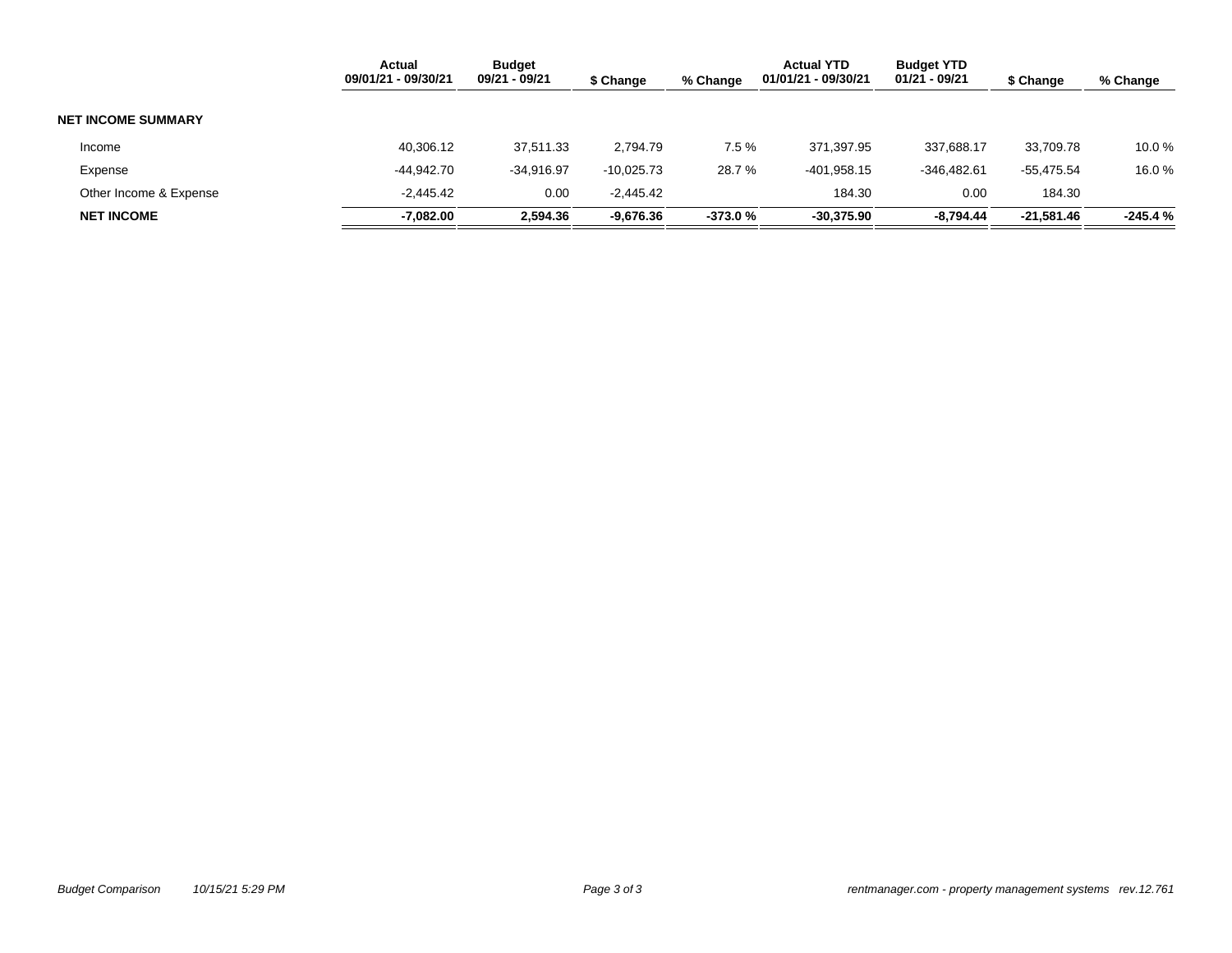|                           | <b>Actual</b><br>09/01/21 - 09/30/21 | <b>Budget</b><br>09/21 - 09/21 | \$ Change    | % Change  | <b>Actual YTD</b><br>01/01/21 - 09/30/21 | <b>Budget YTD</b><br>01/21 - 09/21 | \$ Change  | % Change  |
|---------------------------|--------------------------------------|--------------------------------|--------------|-----------|------------------------------------------|------------------------------------|------------|-----------|
| <b>NET INCOME SUMMARY</b> |                                      |                                |              |           |                                          |                                    |            |           |
| Income                    | 40,306.12                            | 37,511.33                      | 2,794.79     | 7.5%      | 371,397.95                               | 337.688.17                         | 33.709.78  | 10.0 %    |
| Expense                   | -44.942.70                           | $-34.916.97$                   | $-10.025.73$ | 28.7 %    | $-401,958.15$                            | $-346.482.61$                      | -55,475.54 | 16.0%     |
| Other Income & Expense    | $-2.445.42$                          | 0.00                           | $-2.445.42$  |           | 184.30                                   | 0.00                               | 184.30     |           |
| <b>NET INCOME</b>         | $-7,082.00$                          | 2,594.36                       | -9,676.36    | $-373.0%$ | $-30,375.90$                             | $-8,794.44$                        | -21,581.46 | $-245.4%$ |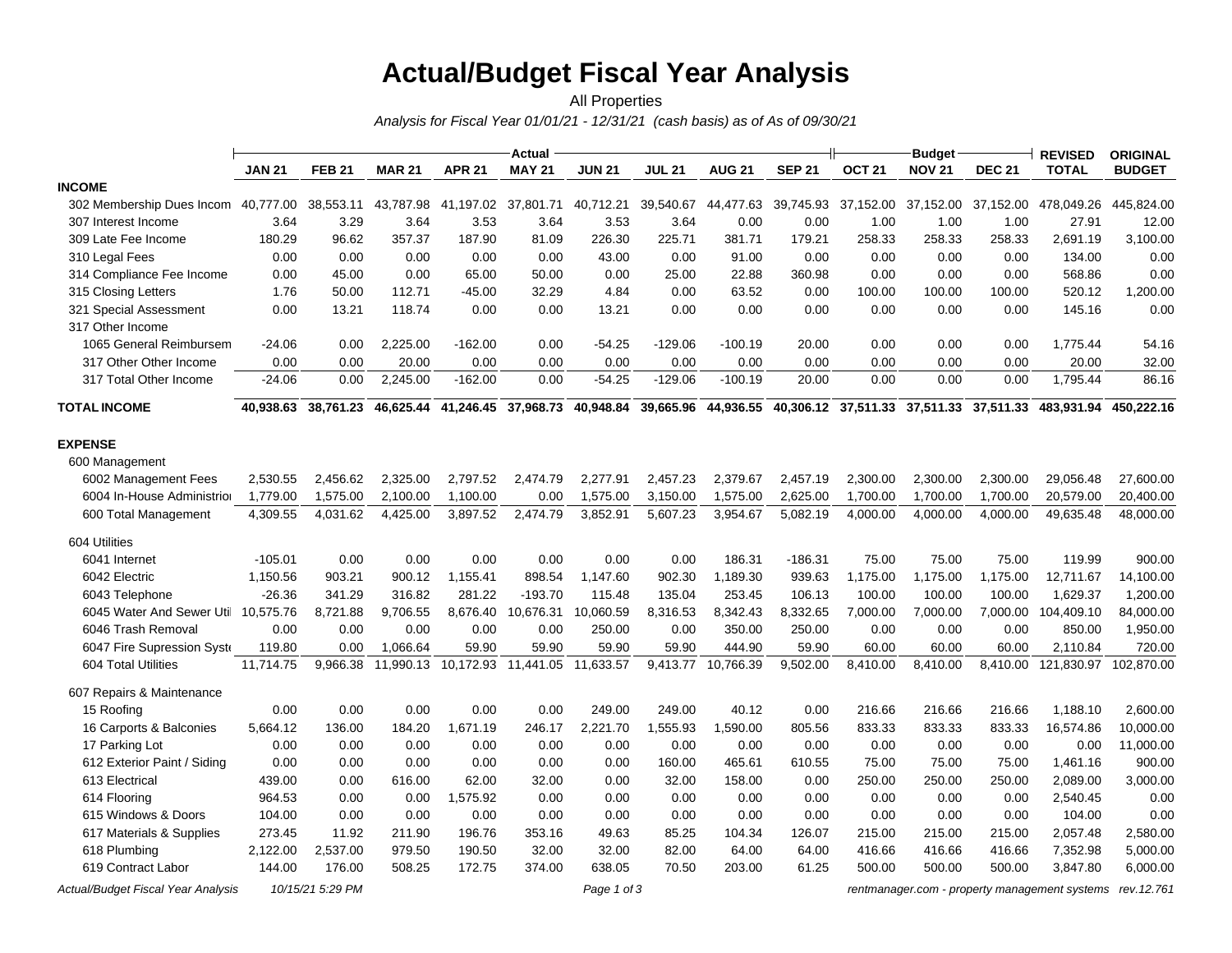# **Actual/Budget Fiscal Year Analysis**

### *Analysis for Fiscal Year 01/01/21 - 12/31/21 (cash basis) as of As of 09/30/21* All Properties

|                                     |               |               |               |               | <b>Actual</b>                 |               |               |                    |               |               | <b>Budget</b>                           |               | <b>REVISED</b>      | <b>ORIGINAL</b> |
|-------------------------------------|---------------|---------------|---------------|---------------|-------------------------------|---------------|---------------|--------------------|---------------|---------------|-----------------------------------------|---------------|---------------------|-----------------|
|                                     | <b>JAN 21</b> | <b>FEB 21</b> | <b>MAR 21</b> | <b>APR 21</b> | <b>MAY 21</b>                 | <b>JUN 21</b> | <b>JUL 21</b> | <b>AUG 21</b>      | <b>SEP 21</b> | <b>OCT 21</b> | <b>NOV 21</b>                           | <b>DEC 21</b> | <b>TOTAL</b>        | <b>BUDGET</b>   |
| <b>INCOME</b>                       |               |               |               |               |                               |               |               |                    |               |               |                                         |               |                     |                 |
| 302 Membership Dues Incom           | 40,777.00     | 38,553.11     | 43,787.98     |               | 41,197.02 37,801.71           | 40,712.21     | 39,540.67     | 44,477.63          | 39,745.93     | 37,152.00     | 37,152.00                               | 37,152.00     | 478,049.26          | 445,824.00      |
| 307 Interest Income                 | 3.64          | 3.29          | 3.64          | 3.53          | 3.64                          | 3.53          | 3.64          | 0.00               | 0.00          | 1.00          | 1.00                                    | 1.00          | 27.91               | 12.00           |
| 309 Late Fee Income                 | 180.29        | 96.62         | 357.37        | 187.90        | 81.09                         | 226.30        | 225.71        | 381.71             | 179.21        | 258.33        | 258.33                                  | 258.33        | 2,691.19            | 3,100.00        |
| 310 Legal Fees                      | 0.00          | 0.00          | 0.00          | 0.00          | 0.00                          | 43.00         | 0.00          | 91.00              | 0.00          | 0.00          | 0.00                                    | 0.00          | 134.00              | 0.00            |
| 314 Compliance Fee Income           | 0.00          | 45.00         | 0.00          | 65.00         | 50.00                         | 0.00          | 25.00         | 22.88              | 360.98        | 0.00          | 0.00                                    | 0.00          | 568.86              | 0.00            |
| 315 Closing Letters                 | 1.76          | 50.00         | 112.71        | $-45.00$      | 32.29                         | 4.84          | 0.00          | 63.52              | 0.00          | 100.00        | 100.00                                  | 100.00        | 520.12              | 1,200.00        |
| 321 Special Assessment              | 0.00          | 13.21         | 118.74        | 0.00          | 0.00                          | 13.21         | 0.00          | 0.00               | 0.00          | 0.00          | 0.00                                    | 0.00          | 145.16              | 0.00            |
| 317 Other Income                    |               |               |               |               |                               |               |               |                    |               |               |                                         |               |                     |                 |
| 1065 General Reimbursem             | $-24.06$      | 0.00          | 2,225.00      | $-162.00$     | 0.00                          | $-54.25$      | $-129.06$     | $-100.19$          | 20.00         | 0.00          | 0.00                                    | 0.00          | 1,775.44            | 54.16           |
| 317 Other Other Income              | 0.00          | 0.00          | 20.00         | 0.00          | 0.00                          | 0.00          | 0.00          | 0.00               | 0.00          | 0.00          | 0.00                                    | 0.00          | 20.00               | 32.00           |
| 317 Total Other Income              | $-24.06$      | 0.00          | 2,245.00      | $-162.00$     | 0.00                          | $-54.25$      | $-129.06$     | $-100.19$          | 20.00         | 0.00          | 0.00                                    | 0.00          | 1,795.44            | 86.16           |
| <b>TOTAL INCOME</b>                 | 40,938.63     | 38,761.23     | 46,625.44     |               | 41,246.45 37,968.73           | 40,948.84     | 39,665.96     | 44,936.55          |               |               | 40,306.12 37,511.33 37,511.33 37,511.33 |               | 483,931.94          | 450,222.16      |
| <b>EXPENSE</b>                      |               |               |               |               |                               |               |               |                    |               |               |                                         |               |                     |                 |
| 600 Management                      |               |               |               |               |                               |               |               |                    |               |               |                                         |               |                     |                 |
| 6002 Management Fees                | 2,530.55      | 2,456.62      | 2,325.00      | 2,797.52      | 2,474.79                      | 2,277.91      | 2,457.23      | 2,379.67           | 2,457.19      | 2,300.00      | 2,300.00                                | 2,300.00      | 29,056.48           | 27,600.00       |
| 6004 In-House Administrior          | 1,779.00      | 1,575.00      | 2,100.00      | 1,100.00      | 0.00                          | 1,575.00      | 3,150.00      | 1,575.00           | 2,625.00      | 1,700.00      | 1,700.00                                | 1,700.00      | 20,579.00           | 20,400.00       |
| 600 Total Management                | 4,309.55      | 4,031.62      | 4,425.00      | 3,897.52      | 2,474.79                      | 3,852.91      | 5,607.23      | 3,954.67           | 5,082.19      | 4,000.00      | 4,000.00                                | 4,000.00      | 49,635.48           | 48,000.00       |
| 604 Utilities                       |               |               |               |               |                               |               |               |                    |               |               |                                         |               |                     |                 |
| 6041 Internet                       | $-105.01$     | 0.00          | 0.00          | 0.00          | 0.00                          | 0.00          | 0.00          | 186.31             | $-186.31$     | 75.00         | 75.00                                   | 75.00         | 119.99              | 900.00          |
| 6042 Electric                       | 1,150.56      | 903.21        | 900.12        | 1,155.41      | 898.54                        | 1,147.60      | 902.30        | 1,189.30           | 939.63        | 1,175.00      | 1,175.00                                | 1,175.00      | 12,711.67           | 14,100.00       |
| 6043 Telephone                      | $-26.36$      | 341.29        | 316.82        | 281.22        | $-193.70$                     | 115.48        | 135.04        | 253.45             | 106.13        | 100.00        | 100.00                                  | 100.00        | 1,629.37            | 1,200.00        |
| 6045 Water And Sewer Util 10,575.76 |               | 8,721.88      | 9,706.55      | 8,676.40      | 10,676.31                     | 10,060.59     | 8,316.53      | 8,342.43           | 8,332.65      | 7,000.00      | 7,000.00                                | 7,000.00      | 104,409.10          | 84,000.00       |
| 6046 Trash Removal                  | 0.00          | 0.00          | 0.00          | 0.00          | 0.00                          | 250.00        | 0.00          | 350.00             | 250.00        | 0.00          | 0.00                                    | 0.00          | 850.00              | 1,950.00        |
| 6047 Fire Supression Syste          | 119.80        | 0.00          | 1,066.64      | 59.90         | 59.90                         | 59.90         | 59.90         | 444.90             | 59.90         | 60.00         | 60.00                                   | 60.00         | 2,110.84            | 720.00          |
| <b>604 Total Utilities</b>          | 11,714.75     | 9,966.38      | 11,990.13     |               | 10,172.93 11,441.05 11,633.57 |               |               | 9,413.77 10,766.39 | 9,502.00      | 8,410.00      | 8,410.00                                |               | 8,410.00 121,830.97 | 102,870.00      |
| 607 Repairs & Maintenance           |               |               |               |               |                               |               |               |                    |               |               |                                         |               |                     |                 |
| 15 Roofing                          | 0.00          | 0.00          | 0.00          | 0.00          | 0.00                          | 249.00        | 249.00        | 40.12              | 0.00          | 216.66        | 216.66                                  | 216.66        | 1,188.10            | 2,600.00        |
| 16 Carports & Balconies             | 5,664.12      | 136.00        | 184.20        | 1,671.19      | 246.17                        | 2,221.70      | 1,555.93      | 1,590.00           | 805.56        | 833.33        | 833.33                                  | 833.33        | 16,574.86           | 10,000.00       |
| 17 Parking Lot                      | 0.00          | 0.00          | 0.00          | 0.00          | 0.00                          | 0.00          | 0.00          | 0.00               | 0.00          | 0.00          | 0.00                                    | 0.00          | 0.00                | 11,000.00       |
| 612 Exterior Paint / Siding         | 0.00          | 0.00          | 0.00          | 0.00          | 0.00                          | 0.00          | 160.00        | 465.61             | 610.55        | 75.00         | 75.00                                   | 75.00         | 1,461.16            | 900.00          |
| 613 Electrical                      | 439.00        | 0.00          | 616.00        | 62.00         | 32.00                         | 0.00          | 32.00         | 158.00             | 0.00          | 250.00        | 250.00                                  | 250.00        | 2,089.00            | 3,000.00        |
| 614 Flooring                        | 964.53        | 0.00          | 0.00          | 1,575.92      | 0.00                          | 0.00          | 0.00          | 0.00               | 0.00          | 0.00          | 0.00                                    | 0.00          | 2,540.45            | 0.00            |
| 615 Windows & Doors                 | 104.00        | 0.00          | 0.00          | 0.00          | 0.00                          | 0.00          | 0.00          | 0.00               | 0.00          | 0.00          | 0.00                                    | 0.00          | 104.00              | 0.00            |
| 617 Materials & Supplies            | 273.45        | 11.92         | 211.90        | 196.76        | 353.16                        | 49.63         | 85.25         | 104.34             | 126.07        | 215.00        | 215.00                                  | 215.00        | 2,057.48            | 2,580.00        |
| 618 Plumbing                        | 2,122.00      | 2,537.00      | 979.50        | 190.50        | 32.00                         | 32.00         | 82.00         | 64.00              | 64.00         | 416.66        | 416.66                                  | 416.66        | 7,352.98            | 5,000.00        |
| 619 Contract Labor                  | 144.00        | 176.00        | 508.25        | 172.75        | 374.00                        | 638.05        | 70.50         | 203.00             | 61.25         | 500.00        | 500.00                                  | 500.00        | 3,847.80            | 6,000.00        |

*Actual/Budget Fiscal Year Analysis 10/15/21 5:29 PM Page 1 of 3 [rentmanager.com - property management systems rev.12.761](http://www.rentmanager.com)*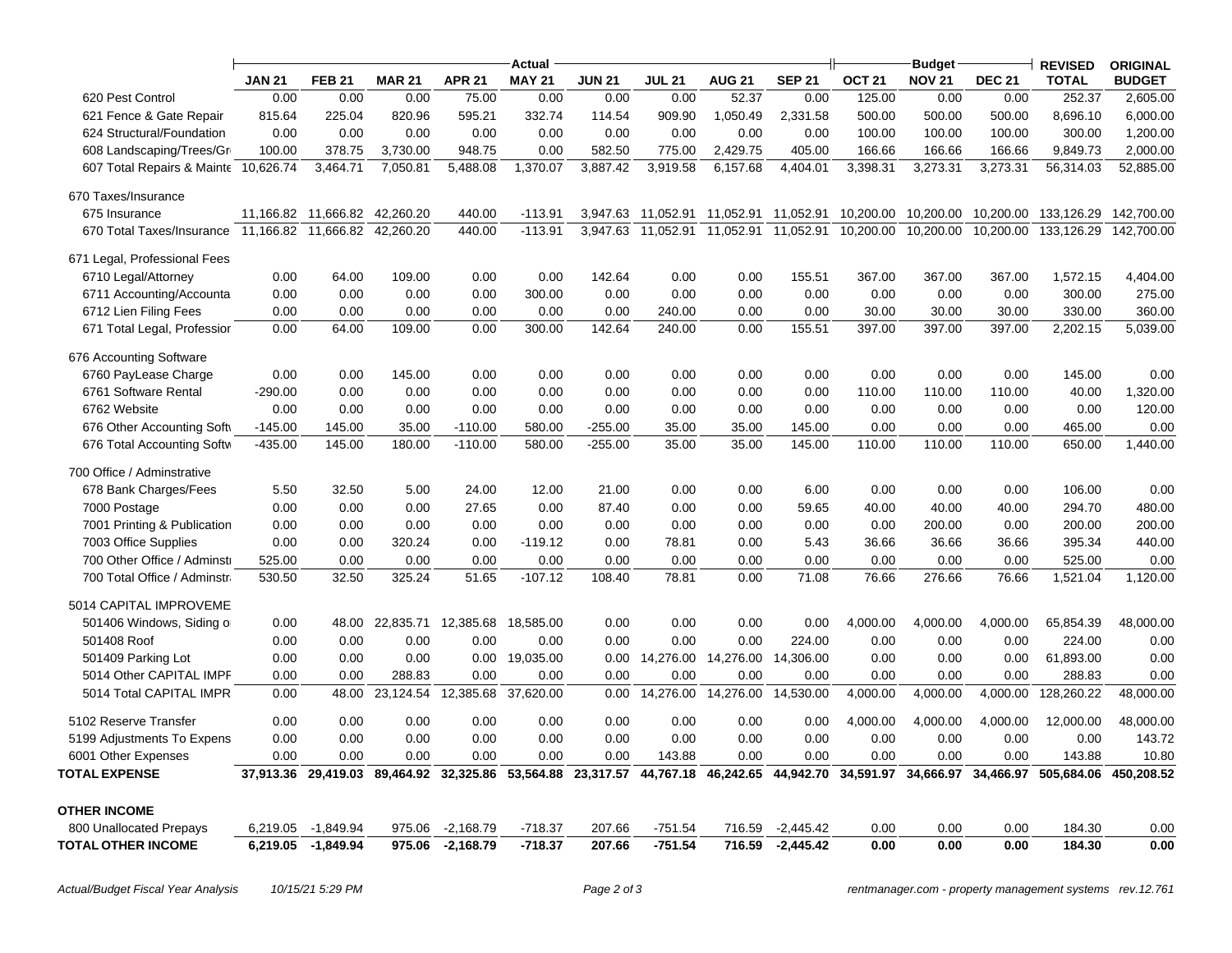|                                                         |               |                               |                                     |               | Actual         |               |               |               |                     |               | <b>Budget</b> |               | <b>REVISED</b> | <b>ORIGINAL</b> |
|---------------------------------------------------------|---------------|-------------------------------|-------------------------------------|---------------|----------------|---------------|---------------|---------------|---------------------|---------------|---------------|---------------|----------------|-----------------|
|                                                         | <b>JAN 21</b> | <b>FEB 21</b>                 | <b>MAR 21</b>                       | <b>APR 21</b> | <b>MAY 21</b>  | <b>JUN 21</b> | <b>JUL 21</b> | <b>AUG 21</b> | <b>SEP 21</b>       | <b>OCT 21</b> | <b>NOV 21</b> | <b>DEC 21</b> | <b>TOTAL</b>   | <b>BUDGET</b>   |
| 620 Pest Control                                        | 0.00          | 0.00                          | 0.00                                | 75.00         | 0.00           | 0.00          | 0.00          | 52.37         | 0.00                | 125.00        | 0.00          | 0.00          | 252.37         | 2,605.00        |
| 621 Fence & Gate Repair                                 | 815.64        | 225.04                        | 820.96                              | 595.21        | 332.74         | 114.54        | 909.90        | 1,050.49      | 2,331.58            | 500.00        | 500.00        | 500.00        | 8,696.10       | 6,000.00        |
| 624 Structural/Foundation                               | 0.00          | 0.00                          | 0.00                                | 0.00          | 0.00           | 0.00          | 0.00          | 0.00          | 0.00                | 100.00        | 100.00        | 100.00        | 300.00         | 1,200.00        |
| 608 Landscaping/Trees/Gr                                | 100.00        | 378.75                        | 3,730.00                            | 948.75        | 0.00           | 582.50        | 775.00        | 2,429.75      | 405.00              | 166.66        | 166.66        | 166.66        | 9,849.73       | 2,000.00        |
| 607 Total Repairs & Mainte 10,626.74                    |               | 3,464.71                      | 7,050.81                            | 5,488.08      | 1,370.07       | 3,887.42      | 3,919.58      | 6,157.68      | 4,404.01            | 3,398.31      | 3,273.31      | 3,273.31      | 56,314.03      | 52,885.00       |
| 670 Taxes/Insurance                                     |               |                               |                                     |               |                |               |               |               |                     |               |               |               |                |                 |
| 675 Insurance                                           |               | 11,166.82 11,666.82 42,260.20 |                                     | 440.00        | $-113.91$      | 3,947.63      | 11,052.91     | 11,052.91     | 11,052.91           | 10,200.00     | 10,200.00     | 10,200.00     | 133,126.29     | 142,700.00      |
| 670 Total Taxes/Insurance 11,166.82 11,666.82 42,260.20 |               |                               |                                     | 440.00        | $-113.91$      | 3,947.63      | 11,052.91     |               | 11,052.91 11,052.91 | 10,200.00     | 10,200.00     | 10,200.00     | 133,126.29     | 142,700.00      |
| 671 Legal, Professional Fees                            |               |                               |                                     |               |                |               |               |               |                     |               |               |               |                |                 |
| 6710 Legal/Attorney                                     | 0.00          | 64.00                         | 109.00                              | 0.00          | 0.00           | 142.64        | 0.00          | 0.00          | 155.51              | 367.00        | 367.00        | 367.00        | 1,572.15       | 4,404.00        |
| 6711 Accounting/Accounta                                | 0.00          | 0.00                          | 0.00                                | 0.00          | 300.00         | 0.00          | 0.00          | 0.00          | 0.00                | 0.00          | 0.00          | 0.00          | 300.00         | 275.00          |
| 6712 Lien Filing Fees                                   | 0.00          | 0.00                          | 0.00                                | 0.00          | 0.00           | 0.00          | 240.00        | 0.00          | 0.00                | 30.00         | 30.00         | 30.00         | 330.00         | 360.00          |
| 671 Total Legal, Professior                             | 0.00          | 64.00                         | 109.00                              | 0.00          | 300.00         | 142.64        | 240.00        | 0.00          | 155.51              | 397.00        | 397.00        | 397.00        | 2,202.15       | 5,039.00        |
| 676 Accounting Software                                 |               |                               |                                     |               |                |               |               |               |                     |               |               |               |                |                 |
| 6760 PayLease Charge                                    | 0.00          | 0.00                          | 145.00                              | 0.00          | 0.00           | 0.00          | 0.00          | 0.00          | 0.00                | 0.00          | 0.00          | 0.00          | 145.00         | 0.00            |
| 6761 Software Rental                                    | $-290.00$     | 0.00                          | 0.00                                | 0.00          | 0.00           | 0.00          | 0.00          | 0.00          | 0.00                | 110.00        | 110.00        | 110.00        | 40.00          | 1,320.00        |
| 6762 Website                                            | 0.00          | 0.00                          | 0.00                                | 0.00          | 0.00           | 0.00          | 0.00          | 0.00          | 0.00                | 0.00          | 0.00          | 0.00          | 0.00           | 120.00          |
| 676 Other Accounting Soft                               | $-145.00$     | 145.00                        | 35.00                               | $-110.00$     | 580.00         | $-255.00$     | 35.00         | 35.00         | 145.00              | 0.00          | 0.00          | 0.00          | 465.00         | 0.00            |
| 676 Total Accounting Softw                              | $-435.00$     | 145.00                        | 180.00                              | $-110.00$     | 580.00         | $-255.00$     | 35.00         | 35.00         | 145.00              | 110.00        | 110.00        | 110.00        | 650.00         | 1,440.00        |
| 700 Office / Adminstrative                              |               |                               |                                     |               |                |               |               |               |                     |               |               |               |                |                 |
| 678 Bank Charges/Fees                                   | 5.50          | 32.50                         | 5.00                                | 24.00         | 12.00          | 21.00         | 0.00          | 0.00          | 6.00                | 0.00          | 0.00          | 0.00          | 106.00         | 0.00            |
| 7000 Postage                                            | 0.00          | 0.00                          | 0.00                                | 27.65         | 0.00           | 87.40         | 0.00          | 0.00          | 59.65               | 40.00         | 40.00         | 40.00         | 294.70         | 480.00          |
| 7001 Printing & Publication                             | 0.00          | 0.00                          | 0.00                                | 0.00          | 0.00           | 0.00          | 0.00          | 0.00          | 0.00                | 0.00          | 200.00        | 0.00          | 200.00         | 200.00          |
| 7003 Office Supplies                                    | 0.00          | 0.00                          | 320.24                              | 0.00          | $-119.12$      | 0.00          | 78.81         | 0.00          | 5.43                | 36.66         | 36.66         | 36.66         | 395.34         | 440.00          |
| 700 Other Office / Adminstr                             | 525.00        | 0.00                          | 0.00                                | 0.00          | 0.00           | 0.00          | 0.00          | 0.00          | 0.00                | 0.00          | 0.00          | 0.00          | 525.00         | 0.00            |
| 700 Total Office / Adminstra                            | 530.50        | 32.50                         | 325.24                              | 51.65         | $-107.12$      | 108.40        | 78.81         | 0.00          | 71.08               | 76.66         | 276.66        | 76.66         | 1,521.04       | 1,120.00        |
| 5014 CAPITAL IMPROVEME                                  |               |                               |                                     |               |                |               |               |               |                     |               |               |               |                |                 |
| 501406 Windows, Siding or                               | 0.00          |                               | 48.00 22,835.71                     | 12,385.68     | 18,585.00      | 0.00          | 0.00          | 0.00          | 0.00                | 4,000.00      | 4,000.00      | 4,000.00      | 65,854.39      | 48,000.00       |
| 501408 Roof                                             | 0.00          | 0.00                          | 0.00                                | 0.00          | 0.00           | 0.00          | 0.00          | 0.00          | 224.00              | 0.00          | 0.00          | 0.00          | 224.00         | 0.00            |
| 501409 Parking Lot                                      | 0.00          | 0.00                          | 0.00                                |               | 0.00 19,035.00 | 0.00          | 14,276.00     | 14,276.00     | 14,306.00           | 0.00          | 0.00          | 0.00          | 61,893.00      | 0.00            |
| 5014 Other CAPITAL IMPF                                 | 0.00          | 0.00                          | 288.83                              | 0.00          | 0.00           | 0.00          | 0.00          | 0.00          | 0.00                | 0.00          | 0.00          | 0.00          | 288.83         | 0.00            |
| 5014 Total CAPITAL IMPR                                 | 0.00          |                               | 48.00 23,124.54 12,385.68 37,620.00 |               |                | 0.00          | 14,276.00     | 14,276.00     | 14,530.00           | 4,000.00      | 4,000.00      | 4,000.00      | 128,260.22     | 48,000.00       |
| 5102 Reserve Transfer                                   | 0.00          | 0.00                          | 0.00                                | 0.00          | 0.00           | 0.00          | 0.00          | 0.00          | 0.00                | 4,000.00      | 4,000.00      | 4,000.00      | 12,000.00      | 48,000.00       |
| 5199 Adjustments To Expens                              | 0.00          | 0.00                          | 0.00                                | 0.00          | 0.00           | 0.00          | 0.00          | 0.00          | 0.00                | 0.00          | 0.00          | 0.00          | 0.00           | 143.72          |
| 6001 Other Expenses                                     | 0.00          | 0.00                          | 0.00                                | 0.00          | 0.00           | 0.00          | 143.88        | 0.00          | 0.00                | 0.00          | 0.00          | 0.00          | 143.88         | 10.80           |
| <b>TOTAL EXPENSE</b>                                    | 37,913.36     | 29,419.03                     | 89,464.92                           | 32,325.86     | 53,564.88      | 23,317.57     | 44,767.18     | 46,242.65     | 44,942.70           | 34,591.97     | 34,666.97     | 34,466.97     | 505,684.06     | 450,208.52      |
| <b>OTHER INCOME</b>                                     |               |                               |                                     |               |                |               |               |               |                     |               |               |               |                |                 |
| 800 Unallocated Prepays                                 | 6,219.05      | $-1,849.94$                   | 975.06                              | $-2,168.79$   | $-718.37$      | 207.66        | $-751.54$     | 716.59        | $-2,445.42$         | 0.00          | 0.00          | 0.00          | 184.30         | 0.00            |
| <b>TOTAL OTHER INCOME</b>                               | 6,219.05      | $-1,849.94$                   | 975.06                              | $-2,168.79$   | $-718.37$      | 207.66        | $-751.54$     | 716.59        | $-2,445.42$         | 0.00          | 0.00          | 0.00          | 184.30         | 0.00            |
|                                                         |               |                               |                                     |               |                |               |               |               |                     |               |               |               |                |                 |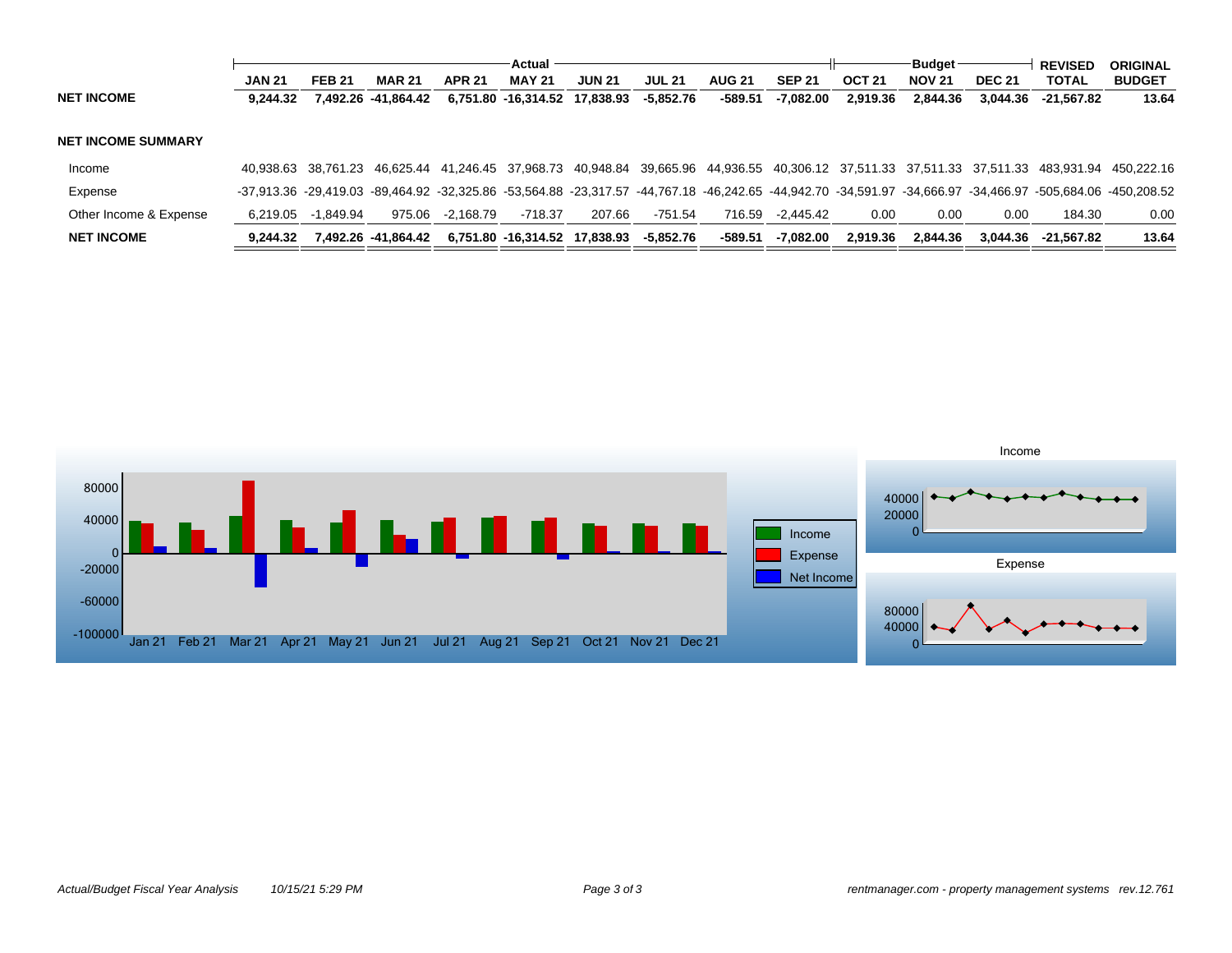|                           |               |               |                     |               | Actual                                            |               |               |               |               |                   | <b>Budget</b> |               | <b>REVISED</b>                                                                                                                                                                          | <b>ORIGINAL</b> |
|---------------------------|---------------|---------------|---------------------|---------------|---------------------------------------------------|---------------|---------------|---------------|---------------|-------------------|---------------|---------------|-----------------------------------------------------------------------------------------------------------------------------------------------------------------------------------------|-----------------|
|                           | <b>JAN 21</b> | <b>FEB 21</b> | <b>MAR 21</b>       | <b>APR 21</b> | <b>MAY 21</b>                                     | <b>JUN 21</b> | <b>JUL 21</b> | <b>AUG 21</b> | <b>SEP 21</b> | OCT <sub>21</sub> | <b>NOV 21</b> | <b>DEC 21</b> | TOTAL                                                                                                                                                                                   | <b>BUDGET</b>   |
| <b>NET INCOME</b>         | 9.244.32      |               | 7.492.26 -41.864.42 |               | 6.751.80 -16.314.52 17.838.93                     |               | -5,852.76     | $-589.51$     | -7,082.00     | 2.919.36          | 2.844.36      | 3.044.36      | -21.567.82                                                                                                                                                                              | 13.64           |
|                           |               |               |                     |               |                                                   |               |               |               |               |                   |               |               |                                                                                                                                                                                         |                 |
| <b>NET INCOME SUMMARY</b> |               |               |                     |               |                                                   |               |               |               |               |                   |               |               |                                                                                                                                                                                         |                 |
| Income                    |               |               |                     |               | 40.938.63 38.761.23 46.625.44 41.246.45 37.968.73 |               |               |               |               |                   |               |               | 40,948.84 39,665.96 44,936.55 40,306.12 37,511.33 37,511.33 37,511.33 483,931.94 450,222.16                                                                                             |                 |
| Expense                   |               |               |                     |               |                                                   |               |               |               |               |                   |               |               | $-37.913.36$ $-29.419.03$ $-89.464.92$ $-32.325.86$ $-53.564.88$ $-23.317.57$ $-44.767.18$ $-46.242.65$ $-44.942.70$ $-34.591.97$ $-34.666.97$ $-34.466.97$ $-505.684.06$ $-450.208.52$ |                 |
| Other Income & Expense    | 6,219.05      | $-1.849.94$   | 975.06              | -2.168.79     | -718.37                                           | 207.66        | $-751.54$     | 716.59        | -2.445.42     | 0.00              | $0.00\,$      | 0.00          | 184.30                                                                                                                                                                                  | 0.00            |
| <b>NET INCOME</b>         | 9.244.32      |               | 7.492.26 -41.864.42 |               | 6,751.80 -16,314.52 17,838.93                     |               | -5,852.76     | -589.51       | -7.082.00     | 2.919.36          | 2.844.36      | 3.044.36      | -21.567.82                                                                                                                                                                              | 13.64           |

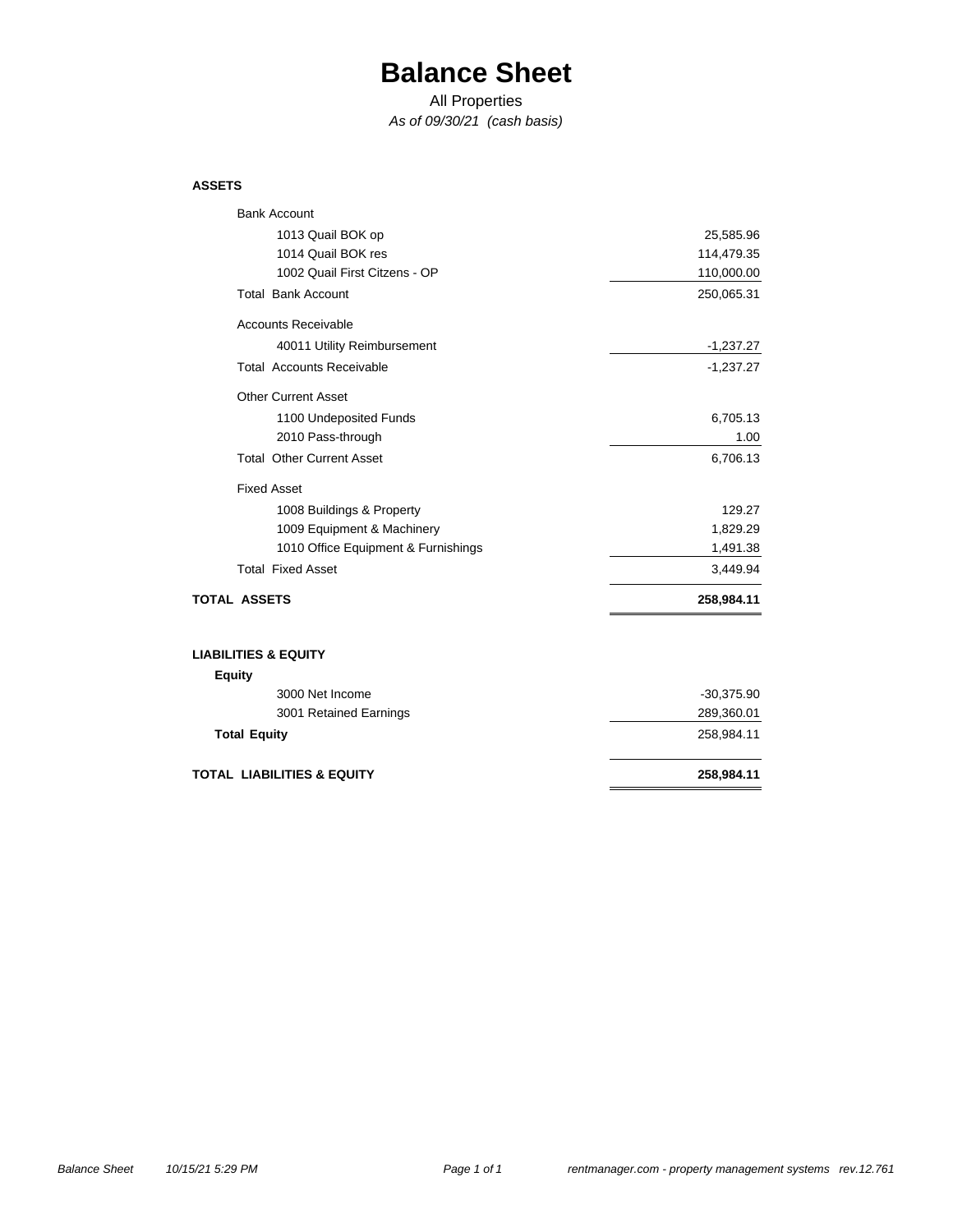# **Balance Sheet**

All Properties

*As of 09/30/21 (cash basis)*

### **ASSETS**

| <b>Bank Account</b>                   |              |
|---------------------------------------|--------------|
| 1013 Quail BOK op                     | 25,585.96    |
| 1014 Quail BOK res                    | 114,479.35   |
| 1002 Quail First Citzens - OP         | 110,000.00   |
| <b>Total Bank Account</b>             | 250,065.31   |
| <b>Accounts Receivable</b>            |              |
| 40011 Utility Reimbursement           | $-1,237.27$  |
| <b>Total Accounts Receivable</b>      | $-1,237.27$  |
| <b>Other Current Asset</b>            |              |
| 1100 Undeposited Funds                | 6,705.13     |
| 2010 Pass-through                     | 1.00         |
| <b>Total Other Current Asset</b>      | 6,706.13     |
| <b>Fixed Asset</b>                    |              |
| 1008 Buildings & Property             | 129.27       |
| 1009 Equipment & Machinery            | 1,829.29     |
| 1010 Office Equipment & Furnishings   | 1,491.38     |
| <b>Total Fixed Asset</b>              | 3,449.94     |
| <b>TOTAL ASSETS</b>                   | 258,984.11   |
| <b>LIABILITIES &amp; EQUITY</b>       |              |
| <b>Equity</b>                         |              |
| 3000 Net Income                       | $-30,375.90$ |
| 3001 Retained Earnings                | 289,360.01   |
| <b>Total Equity</b>                   | 258,984.11   |
| <b>TOTAL LIABILITIES &amp; EQUITY</b> | 258,984.11   |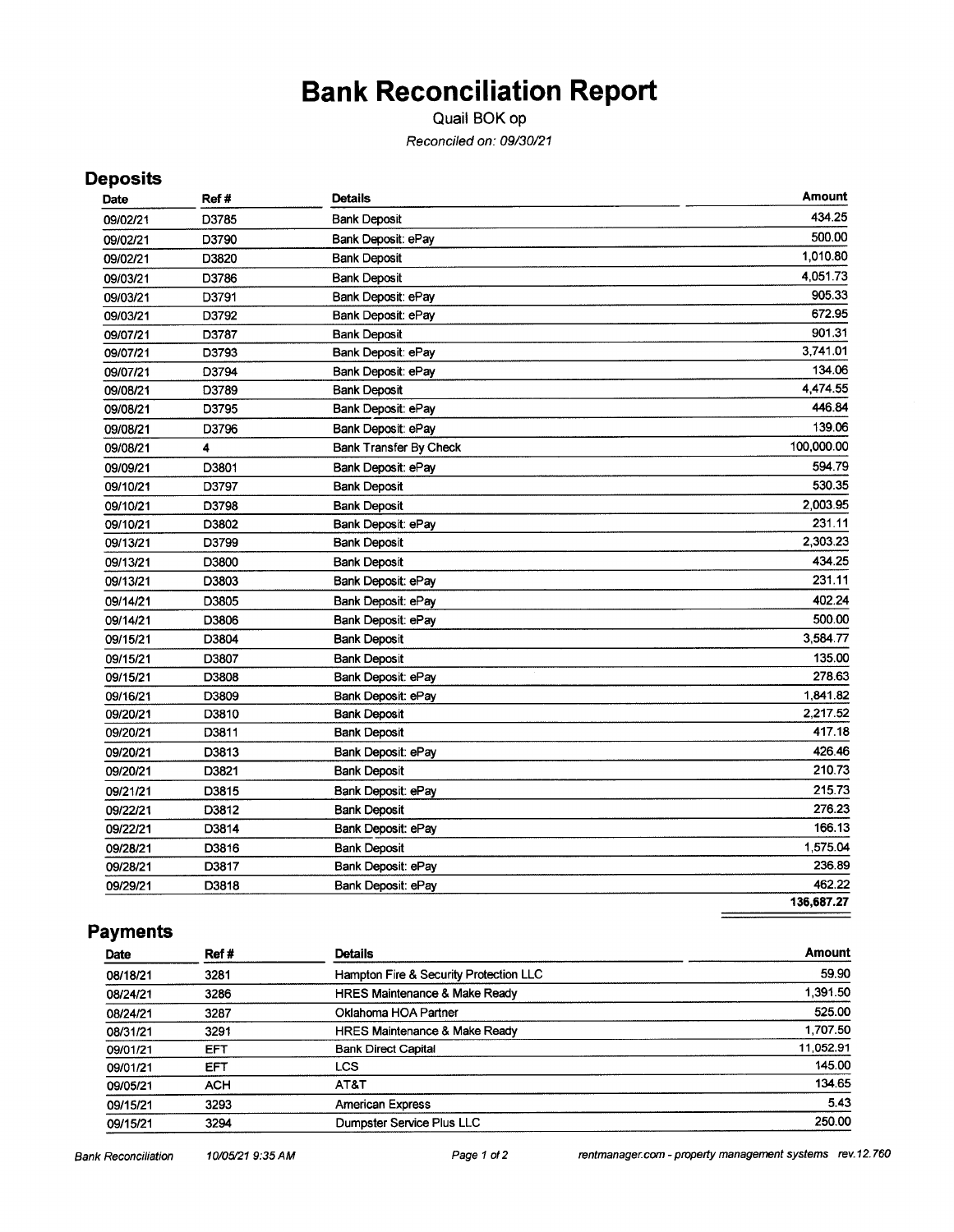# **Bank Reconciliation Report**

Quail BOK op Reconciled on: 09/30/21

## **Deposits**

| Date     | Ref#  | <b>Details</b>                | Amount     |
|----------|-------|-------------------------------|------------|
| 09/02/21 | D3785 | <b>Bank Deposit</b>           | 434 25     |
| 09/02/21 | D3790 | Bank Deposit: ePay            | 500.00     |
| 09/02/21 | D3820 | <b>Bank Deposit</b>           | 1,010.80   |
| 09/03/21 | D3786 | <b>Bank Deposit</b>           | 4,051.73   |
| 09/03/21 | D3791 | Bank Deposit: ePay            | 905.33     |
| 09/03/21 | D3792 | Bank Deposit: ePay            | 672.95     |
| 09/07/21 | D3787 | <b>Bank Deposit</b>           | 901.31     |
| 09/07/21 | D3793 | Bank Deposit: ePay            | 3.741.01   |
| 09/07/21 | D3794 | Bank Deposit: ePay            | 134.06     |
| 09/08/21 | D3789 | <b>Bank Deposit</b>           | 4,474.55   |
| 09/08/21 | D3795 | Bank Deposit: ePay            | 446.84     |
| 09/08/21 | D3796 | Bank Deposit: ePay            | 139.06     |
| 09/08/21 | 4     | <b>Bank Transfer By Check</b> | 100,000.00 |
| 09/09/21 | D3801 | Bank Deposit: ePay            | 594.79     |
| 09/10/21 | D3797 | <b>Bank Deposit</b>           | 530.35     |
| 09/10/21 | D3798 | <b>Bank Deposit</b>           | 2,003.95   |
| 09/10/21 | D3802 | Bank Deposit: ePay            | 231.11     |
| 09/13/21 | D3799 | <b>Bank Deposit</b>           | 2.303.23   |
| 09/13/21 | D3800 | <b>Bank Deposit</b>           | 434.25     |
| 09/13/21 | D3803 | Bank Deposit: ePay            | 231.11     |
| 09/14/21 | D3805 | Bank Deposit: ePay            | 402.24     |
| 09/14/21 | D3806 | Bank Deposit: ePay            | 500.00     |
| 09/15/21 | D3804 | <b>Bank Deposit</b>           | 3,584.77   |
| 09/15/21 | D3807 | <b>Bank Deposit</b>           | 135.00     |
| 09/15/21 | D3808 | Bank Deposit: ePay            | 278.63     |
| 09/16/21 | D3809 | Bank Deposit: ePay            | 1,841.82   |
| 09/20/21 | D3810 | <b>Bank Deposit</b>           | 2,217.52   |
| 09/20/21 | D3811 | <b>Bank Deposit</b>           | 417.18     |
| 09/20/21 | D3813 | Bank Deposit: ePay            | 426.46     |
| 09/20/21 | D3821 | <b>Bank Deposit</b>           | 210.73     |
| 09/21/21 | D3815 | Bank Deposit: ePay            | 215.73     |
| 09/22/21 | D3812 | <b>Bank Deposit</b>           | 276.23     |
| 09/22/21 | D3814 | Bank Deposit: ePay            | 166.13     |
| 09/28/21 | D3816 | <b>Bank Deposit</b>           | 1,575.04   |
| 09/28/21 | D3817 | Bank Deposit: ePay            | 236.89     |
| 09/29/21 | D3818 | Bank Deposit: ePay            | 462.22     |
|          |       |                               | 136,687.27 |
|          |       |                               |            |

## **Payments**

| Date     | Ref# | <b>Details</b>                           | <b>Amount</b> |
|----------|------|------------------------------------------|---------------|
| 08/18/21 | 3281 | Hampton Fire & Security Protection LLC   | 59.90         |
| 08/24/21 | 3286 | <b>HRES Maintenance &amp; Make Ready</b> | 1,391.50      |
| 08/24/21 | 3287 | Oklahoma HOA Partner                     | 525.00        |
| 08/31/21 | 3291 | <b>HRES Maintenance &amp; Make Ready</b> | 1,707.50      |
| 09/01/21 | EFT  | <b>Bank Direct Capital</b>               | 11,052.91     |
| 09/01/21 | EFT  | LCS                                      | 145.00        |
| 09/05/21 | ACH  | AT&T                                     | 134.65        |
| 09/15/21 | 3293 | <b>American Express</b>                  | 5.43          |
| 09/15/21 | 3294 | Dumpster Service Plus LLC                | 250.00        |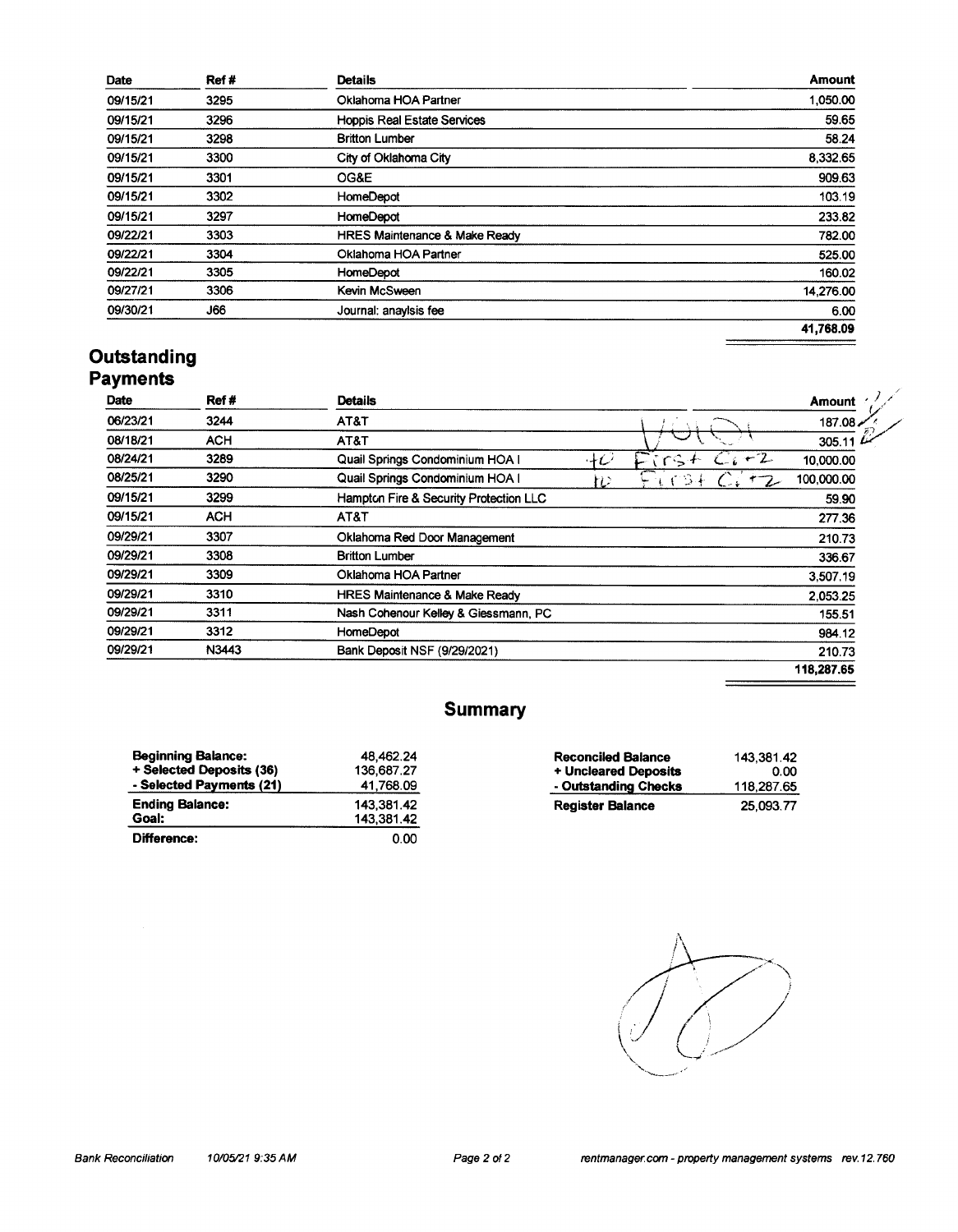| Date     | Ref # | <b>Details</b>                           | <b>Amount</b> |
|----------|-------|------------------------------------------|---------------|
| 09/15/21 | 3295  | Oklahoma HOA Partner                     | 1,050.00      |
| 09/15/21 | 3296  | <b>Hoppis Real Estate Services</b>       | 59.65         |
| 09/15/21 | 3298  | <b>Britton Lumber</b>                    | 58.24         |
| 09/15/21 | 3300  | City of Oklahoma City                    | 8,332.65      |
| 09/15/21 | 3301  | OG&E                                     | 909.63        |
| 09/15/21 | 3302  | HomeDepot                                | 103.19        |
| 09/15/21 | 3297  | HomeDepot                                | 233.82        |
| 09/22/21 | 3303  | <b>HRES Maintenance &amp; Make Ready</b> | 782.00        |
| 09/22/21 | 3304  | Oklahoma HOA Partner                     | 525.00        |
| 09/22/21 | 3305  | <b>HomeDepot</b>                         | 160.02        |
| 09/27/21 | 3306  | Kevin McSween                            | 14,276.00     |
| 09/30/21 | J66   | Journal: anaylsis fee                    | 6.00          |
|          |       |                                          | 41,768.09     |
|          |       |                                          |               |

# **Outstanding**<br>Payments

| Date     | Ref#       | <b>Details</b>                           |           | <b>Amount</b> |
|----------|------------|------------------------------------------|-----------|---------------|
| 06/23/21 | 3244       | AT&T                                     |           | 187.08.       |
| 08/18/21 | <b>ACH</b> | AT&T                                     |           | 305.11        |
| 08/24/21 | 3289       | Quail Springs Condominium HOA I          | 40<br>rs. | 10,000.00     |
| 08/25/21 | 3290       | Quail Springs Condominium HOA I          | خت<br>n   | 100,000.00    |
| 09/15/21 | 3299       | Hampton Fire & Security Protection LLC   |           | 59.90         |
| 09/15/21 | <b>ACH</b> | AT&T                                     |           | 277.36        |
| 09/29/21 | 3307       | Oklahoma Red Door Management             |           | 210.73        |
| 09/29/21 | 3308       | <b>Britton Lumber</b>                    |           | 336.67        |
| 09/29/21 | 3309       | Oklahoma HOA Partner                     |           | 3,507.19      |
| 09/29/21 | 3310       | <b>HRES Maintenance &amp; Make Ready</b> |           | 2.053.25      |
| 09/29/21 | 3311       | Nash Cohenour Kelley & Giessmann, PC     |           | 155.51        |
| 09/29/21 | 3312       | <b>HomeDepot</b>                         |           | 984.12        |
| 09/29/21 | N3443      | Bank Deposit NSF (9/29/2021)             |           | 210.73        |
|          |            |                                          |           | 118,287.65    |

## **Summary**

| <b>Beginning Balance:</b> | 48,462.24  |
|---------------------------|------------|
| + Selected Deposits (36)  | 136.687.27 |
| - Selected Payments (21)  | 41,768.09  |
| <b>Ending Balance:</b>    | 143.381.42 |
| Goal:                     | 143.381.42 |
| Difference:               | 0.00       |

| <b>Reconciled Balance</b> | 143.381.42 |
|---------------------------|------------|
| + Uncleared Deposits      | 0.00       |
| - Outstanding Checks      | 118.287.65 |
| <b>Register Balance</b>   | 25.093.77  |

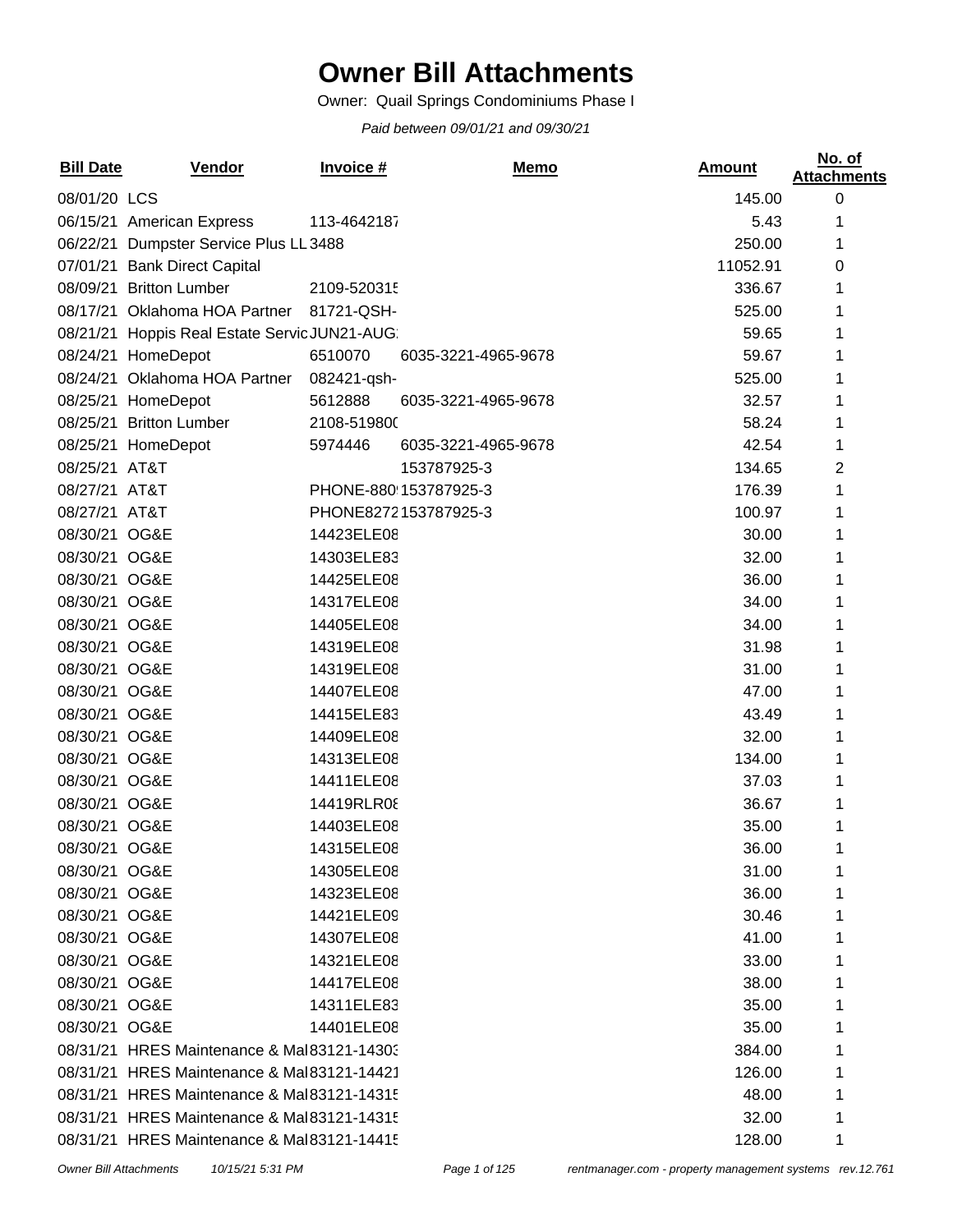# **Owner Bill Attachments**

Owner: Quail Springs Condominiums Phase I

*Paid between 09/01/21 and 09/30/21*

| <b>Bill Date</b> | <b>Vendor</b>                                 | Invoice #   | Memo                  | <b>Amount</b> | No. of<br><b>Attachments</b> |
|------------------|-----------------------------------------------|-------------|-----------------------|---------------|------------------------------|
| 08/01/20 LCS     |                                               |             |                       | 145.00        | $\boldsymbol{0}$             |
|                  | 06/15/21 American Express                     | 113-4642187 |                       | 5.43          | 1                            |
|                  | 06/22/21 Dumpster Service Plus LL 3488        |             |                       | 250.00        | 1                            |
|                  | 07/01/21 Bank Direct Capital                  |             |                       | 11052.91      | 0                            |
|                  | 08/09/21 Britton Lumber                       | 2109-520315 |                       | 336.67        | 1                            |
|                  | 08/17/21 Oklahoma HOA Partner                 | 81721-QSH-  |                       | 525.00        | 1                            |
|                  | 08/21/21 Hoppis Real Estate Servic JUN21-AUG: |             |                       | 59.65         | 1                            |
|                  | 08/24/21 HomeDepot                            | 6510070     | 6035-3221-4965-9678   | 59.67         | 1                            |
|                  | 08/24/21 Oklahoma HOA Partner                 | 082421-gsh- |                       | 525.00        | 1                            |
|                  | 08/25/21 HomeDepot                            | 5612888     | 6035-3221-4965-9678   | 32.57         | 1                            |
|                  | 08/25/21 Britton Lumber                       | 2108-519800 |                       | 58.24         | 1                            |
|                  | 08/25/21 HomeDepot                            | 5974446     | 6035-3221-4965-9678   | 42.54         | 1                            |
| 08/25/21 AT&T    |                                               |             | 153787925-3           | 134.65        | 2                            |
| 08/27/21 AT&T    |                                               |             | PHONE-880!153787925-3 | 176.39        | 1                            |
| 08/27/21 AT&T    |                                               |             | PHONE8272153787925-3  | 100.97        | 1                            |
| 08/30/21 OG&E    |                                               | 14423ELE08  |                       | 30.00         | 1                            |
| 08/30/21 OG&E    |                                               | 14303ELE83  |                       | 32.00         | 1                            |
| 08/30/21 OG&E    |                                               | 14425ELE08  |                       | 36.00         | 1                            |
| 08/30/21 OG&E    |                                               | 14317ELE08  |                       | 34.00         | 1                            |
| 08/30/21 OG&E    |                                               | 14405ELE08  |                       | 34.00         | 1                            |
| 08/30/21 OG&E    |                                               | 14319ELE08  |                       | 31.98         | 1                            |
| 08/30/21 OG&E    |                                               | 14319ELE08  |                       | 31.00         | 1                            |
| 08/30/21 OG&E    |                                               | 14407ELE08  |                       | 47.00         | 1                            |
| 08/30/21 OG&E    |                                               | 14415ELE83  |                       | 43.49         | 1                            |
| 08/30/21 OG&E    |                                               | 14409ELE08  |                       | 32.00         | 1                            |
| 08/30/21 OG&E    |                                               | 14313ELE08  |                       | 134.00        | 1                            |
| 08/30/21 OG&E    |                                               | 14411ELE08  |                       | 37.03         | 1                            |
| 08/30/21 OG&E    |                                               | 14419RLR08  |                       | 36.67         | 1                            |
| 08/30/21 OG&E    |                                               | 14403ELE08  |                       | 35.00         | 1                            |
| 08/30/21 OG&E    |                                               | 14315ELE08  |                       | 36.00         | 1                            |
| 08/30/21 OG&E    |                                               | 14305ELE08  |                       | 31.00         |                              |
| 08/30/21 OG&E    |                                               | 14323ELE08  |                       | 36.00         |                              |
| 08/30/21 OG&E    |                                               | 14421ELE09  |                       | 30.46         |                              |
| 08/30/21 OG&E    |                                               | 14307ELE08  |                       | 41.00         |                              |
| 08/30/21 OG&E    |                                               | 14321ELE08  |                       | 33.00         |                              |
| 08/30/21 OG&E    |                                               | 14417ELE08  |                       | 38.00         |                              |
| 08/30/21 OG&E    |                                               | 14311ELE83  |                       | 35.00         |                              |
| 08/30/21 OG&E    |                                               | 14401ELE08  |                       | 35.00         |                              |
|                  | 08/31/21 HRES Maintenance & Mal83121-14303    |             |                       | 384.00        |                              |
|                  | 08/31/21 HRES Maintenance & Mal83121-14421    |             |                       | 126.00        |                              |
|                  | 08/31/21 HRES Maintenance & Mal83121-14315    |             |                       | 48.00         |                              |
|                  | 08/31/21 HRES Maintenance & Mal83121-14315    |             |                       | 32.00         | 1                            |
|                  | 08/31/21 HRES Maintenance & Mal83121-14415    |             |                       | 128.00        | 1                            |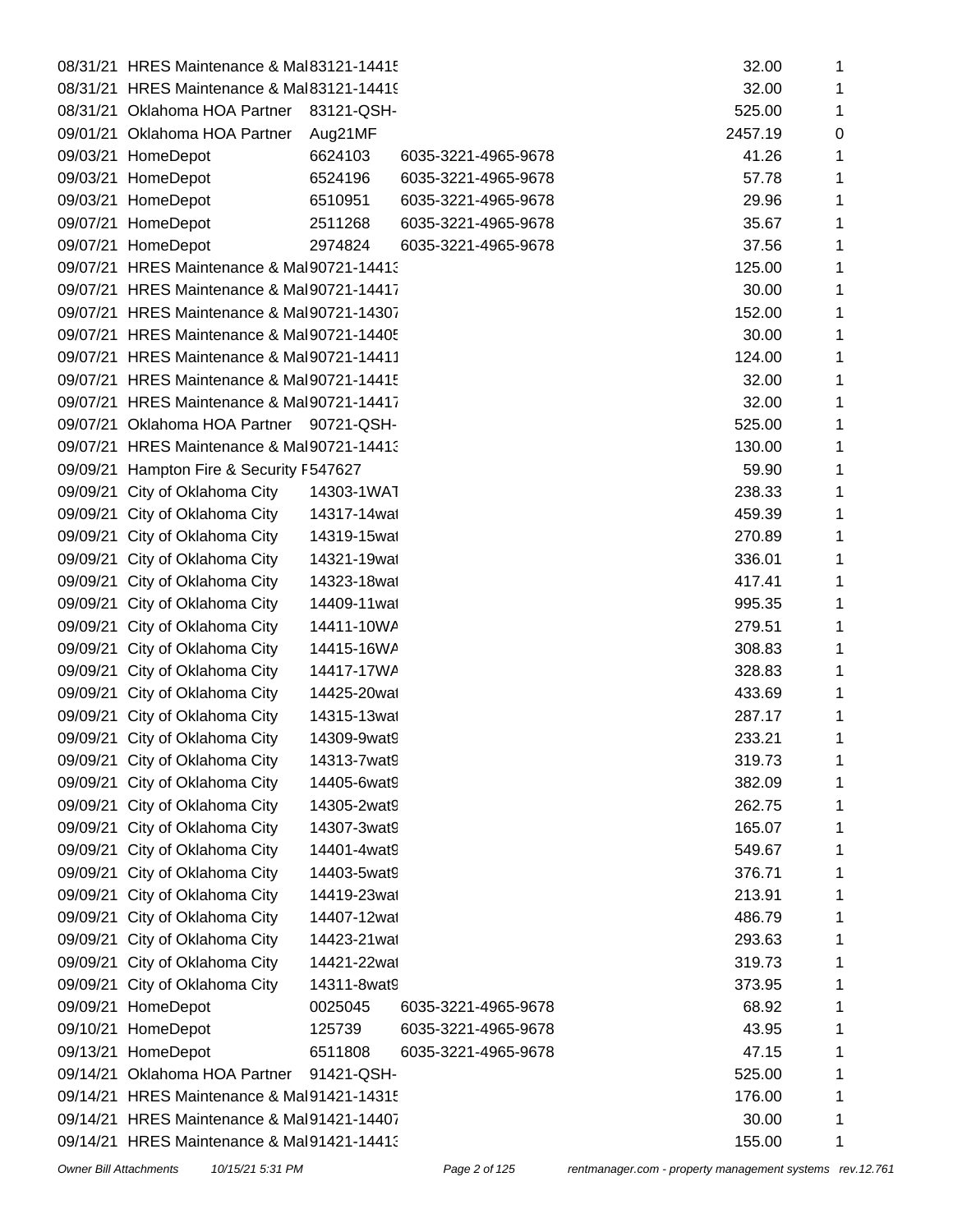|          | 08/31/21 HRES Maintenance & Mal83121-14415 |              |                     | 32.00   | 1 |
|----------|--------------------------------------------|--------------|---------------------|---------|---|
|          | 08/31/21 HRES Maintenance & Mal83121-14419 |              |                     | 32.00   | 1 |
|          | 08/31/21 Oklahoma HOA Partner              | 83121-QSH-   |                     | 525.00  | 1 |
|          | 09/01/21 Oklahoma HOA Partner              | Aug21MF      |                     | 2457.19 | 0 |
|          | 09/03/21 HomeDepot                         | 6624103      | 6035-3221-4965-9678 | 41.26   | 1 |
|          | 09/03/21 HomeDepot                         | 6524196      | 6035-3221-4965-9678 | 57.78   | 1 |
|          | 09/03/21 HomeDepot                         | 6510951      | 6035-3221-4965-9678 | 29.96   | 1 |
|          | 09/07/21 HomeDepot                         | 2511268      | 6035-3221-4965-9678 | 35.67   | 1 |
|          | 09/07/21 HomeDepot                         | 2974824      | 6035-3221-4965-9678 | 37.56   | 1 |
|          | 09/07/21 HRES Maintenance & Mal90721-14413 |              |                     | 125.00  | 1 |
|          | 09/07/21 HRES Maintenance & Mal90721-14417 |              |                     | 30.00   | 1 |
|          | 09/07/21 HRES Maintenance & Mal90721-14307 |              |                     | 152.00  | 1 |
|          | 09/07/21 HRES Maintenance & Mal90721-14405 |              |                     | 30.00   | 1 |
|          | 09/07/21 HRES Maintenance & Mal90721-14411 |              |                     | 124.00  | 1 |
|          | 09/07/21 HRES Maintenance & Mal90721-14415 |              |                     | 32.00   | 1 |
|          | 09/07/21 HRES Maintenance & Mal90721-14417 |              |                     | 32.00   | 1 |
|          | 09/07/21 Oklahoma HOA Partner              | 90721-QSH-   |                     | 525.00  | 1 |
|          | 09/07/21 HRES Maintenance & Mal90721-14413 |              |                     | 130.00  | 1 |
| 09/09/21 | Hampton Fire & Security F547627            |              |                     | 59.90   | 1 |
| 09/09/21 | City of Oklahoma City                      | 14303-1WAT   |                     | 238.33  | 1 |
| 09/09/21 | City of Oklahoma City                      | 14317-14wat  |                     | 459.39  | 1 |
|          | 09/09/21 City of Oklahoma City             | 14319-15wat  |                     | 270.89  | 1 |
| 09/09/21 | City of Oklahoma City                      | 14321-19wat  |                     | 336.01  | 1 |
| 09/09/21 | City of Oklahoma City                      | 14323-18wat  |                     | 417.41  | 1 |
|          | 09/09/21 City of Oklahoma City             | 14409-11 wat |                     | 995.35  | 1 |
| 09/09/21 | City of Oklahoma City                      | 14411-10WA   |                     | 279.51  | 1 |
|          | 09/09/21 City of Oklahoma City             | 14415-16WA   |                     | 308.83  | 1 |
|          | 09/09/21 City of Oklahoma City             | 14417-17WA   |                     | 328.83  | 1 |
| 09/09/21 | City of Oklahoma City                      | 14425-20wat  |                     | 433.69  | 1 |
|          | 09/09/21 City of Oklahoma City             | 14315-13wat  |                     | 287.17  | 1 |
|          | 09/09/21 City of Oklahoma City             | 14309-9wat9  |                     | 233.21  | 1 |
|          | 09/09/21 City of Oklahoma City             | 14313-7wat9  |                     | 319.73  | 1 |
| 09/09/21 | City of Oklahoma City                      | 14405-6wat9  |                     | 382.09  |   |
| 09/09/21 | City of Oklahoma City                      | 14305-2wat9  |                     | 262.75  | 1 |
|          | 09/09/21 City of Oklahoma City             | 14307-3wat9  |                     | 165.07  | 1 |
| 09/09/21 | City of Oklahoma City                      | 14401-4wat9  |                     | 549.67  | 1 |
| 09/09/21 | City of Oklahoma City                      | 14403-5wat9  |                     | 376.71  | 1 |
| 09/09/21 | City of Oklahoma City                      | 14419-23wat  |                     | 213.91  | 1 |
| 09/09/21 | City of Oklahoma City                      | 14407-12wat  |                     | 486.79  | 1 |
| 09/09/21 | City of Oklahoma City                      | 14423-21 wat |                     | 293.63  | 1 |
| 09/09/21 | City of Oklahoma City                      | 14421-22wat  |                     | 319.73  | 1 |
| 09/09/21 | City of Oklahoma City                      | 14311-8wat9  |                     | 373.95  | 1 |
| 09/09/21 | HomeDepot                                  | 0025045      | 6035-3221-4965-9678 | 68.92   | 1 |
| 09/10/21 | HomeDepot                                  | 125739       | 6035-3221-4965-9678 | 43.95   | 1 |
| 09/13/21 | HomeDepot                                  | 6511808      | 6035-3221-4965-9678 | 47.15   | 1 |
| 09/14/21 | Oklahoma HOA Partner                       | 91421-QSH-   |                     | 525.00  | 1 |
|          | 09/14/21 HRES Maintenance & Mal91421-14315 |              |                     | 176.00  | 1 |
|          | 09/14/21 HRES Maintenance & Mal91421-14407 |              |                     | 30.00   | 1 |
|          | 09/14/21 HRES Maintenance & Mal91421-14413 |              |                     | 155.00  | 1 |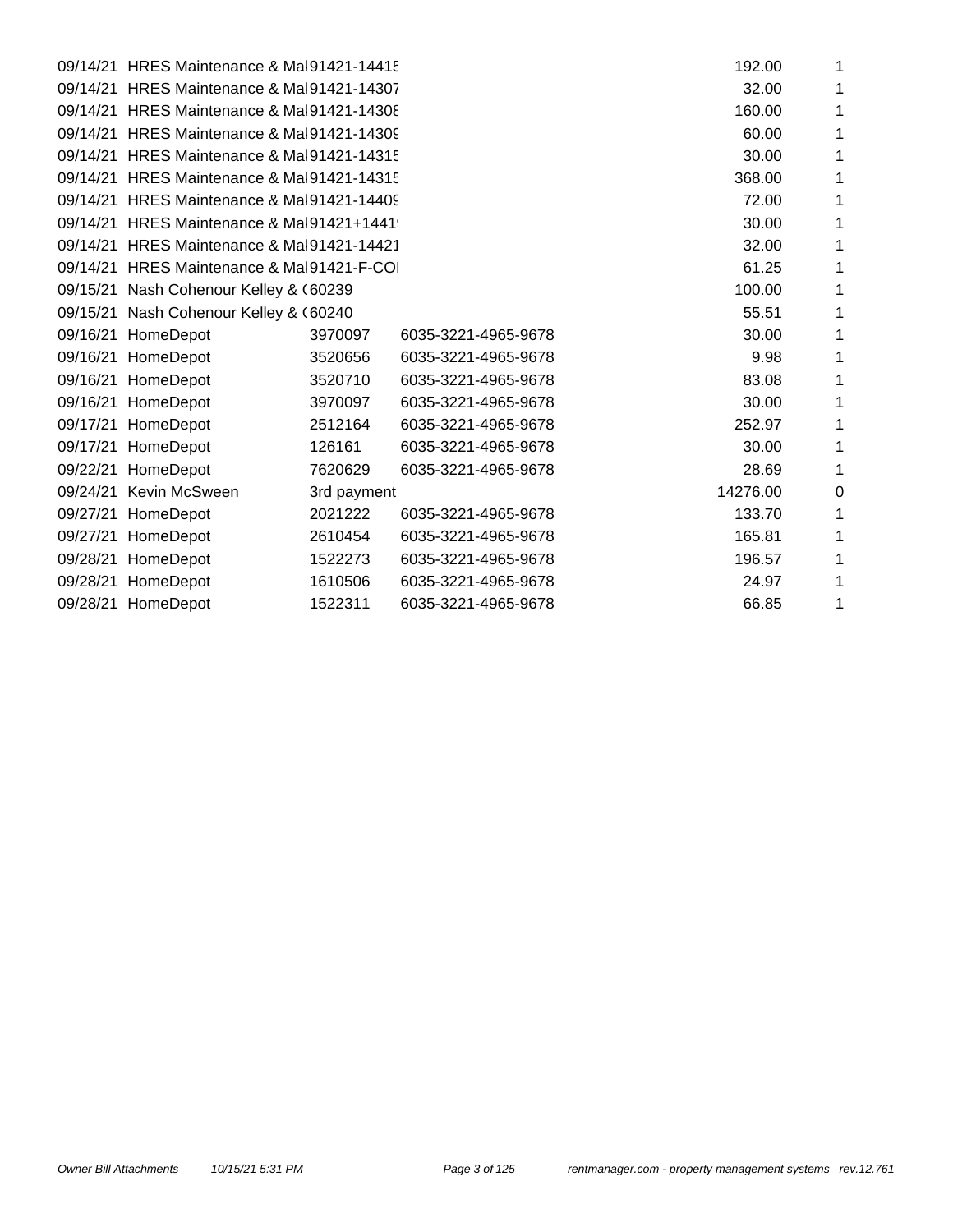|          | 09/14/21 HRES Maintenance & Mal91421-14415 |             |                     | 192.00   | 1 |
|----------|--------------------------------------------|-------------|---------------------|----------|---|
| 09/14/21 | HRES Maintenance & Mal91421-14307          |             |                     | 32.00    | 1 |
|          | 09/14/21 HRES Maintenance & Mal91421-14308 |             |                     | 160.00   | 1 |
| 09/14/21 | HRES Maintenance & Mal91421-14309          |             |                     | 60.00    | 1 |
|          | 09/14/21 HRES Maintenance & Mal91421-14315 |             |                     | 30.00    | 1 |
| 09/14/21 | HRES Maintenance & Mal91421-14315          |             |                     | 368.00   | 1 |
|          | 09/14/21 HRES Maintenance & Mal91421-14409 |             |                     | 72.00    | 1 |
| 09/14/21 | HRES Maintenance & Mal91421+1441           |             |                     | 30.00    | 1 |
|          | 09/14/21 HRES Maintenance & Mal91421-14421 |             |                     | 32.00    | 1 |
| 09/14/21 | HRES Maintenance & Mal91421-F-COI          |             |                     | 61.25    | 1 |
|          | 09/15/21 Nash Cohenour Kelley & (60239     |             |                     | 100.00   | 1 |
| 09/15/21 | Nash Cohenour Kelley & (60240              |             |                     | 55.51    | 1 |
|          | 09/16/21 HomeDepot                         | 3970097     | 6035-3221-4965-9678 | 30.00    | 1 |
| 09/16/21 | HomeDepot                                  | 3520656     | 6035-3221-4965-9678 | 9.98     | 1 |
|          | 09/16/21 HomeDepot                         | 3520710     | 6035-3221-4965-9678 | 83.08    | 1 |
| 09/16/21 | HomeDepot                                  | 3970097     | 6035-3221-4965-9678 | 30.00    | 1 |
|          | 09/17/21 HomeDepot                         | 2512164     | 6035-3221-4965-9678 | 252.97   | 1 |
|          | 09/17/21 HomeDepot                         | 126161      | 6035-3221-4965-9678 | 30.00    | 1 |
|          | 09/22/21 HomeDepot                         | 7620629     | 6035-3221-4965-9678 | 28.69    | 1 |
|          | 09/24/21 Kevin McSween                     | 3rd payment |                     | 14276.00 | 0 |
| 09/27/21 | HomeDepot                                  | 2021222     | 6035-3221-4965-9678 | 133.70   | 1 |
| 09/27/21 | HomeDepot                                  | 2610454     | 6035-3221-4965-9678 | 165.81   | 1 |
| 09/28/21 | HomeDepot                                  | 1522273     | 6035-3221-4965-9678 | 196.57   | 1 |
| 09/28/21 | HomeDepot                                  | 1610506     | 6035-3221-4965-9678 | 24.97    | 1 |
|          | 09/28/21 HomeDepot                         | 1522311     | 6035-3221-4965-9678 | 66.85    | 1 |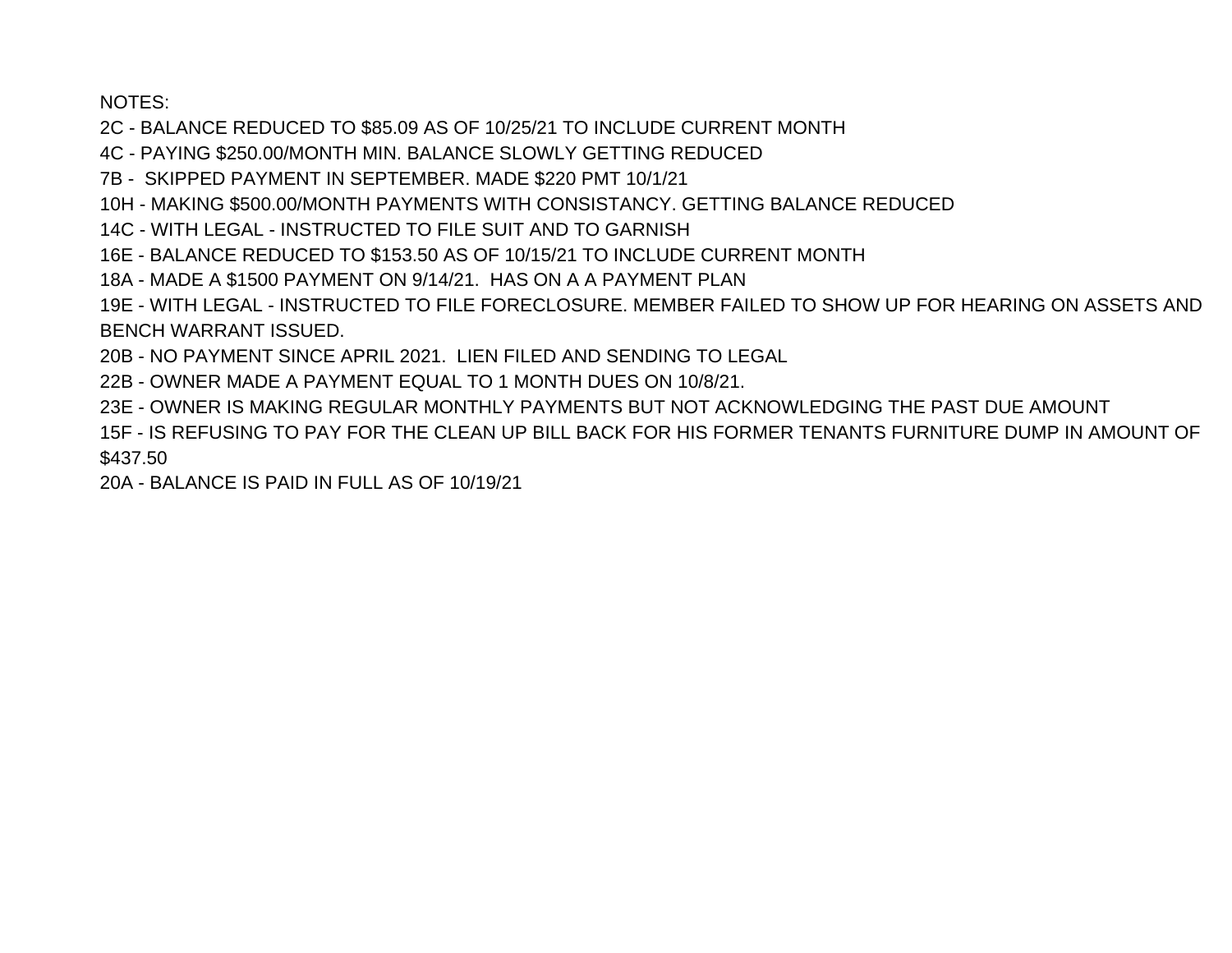NOTES:

2C - BALANCE REDUCED TO \$85.09 AS OF 10/25/21 TO INCLUDE CURRENT MONTH

4C - PAYING \$250.00/MONTH MIN, BALANCE SLOWLY GETTING REDUCED

7B - SKIPPED PAYMENT IN SEPTEMBER. MADE \$220 PMT 10/1/21

10H - MAKING \$500,00/MONTH PAYMENTS WITH CONSISTANCY, GETTING BALANCE REDUCED

14C - WITH LEGAL - INSTRUCTED TO FILE SUIT AND TO GARNISH

16E - BALANCE REDUCED TO \$153.50 AS OF 10/15/21 TO INCLUDE CURRENT MONTH

18A - MADE A \$1500 PAYMENT ON 9/14/21. HAS ON A A PAYMENT PLAN

19E - WITH LEGAL - INSTRUCTED TO FILE FORECLOSURE. MEMBER FAILED TO SHOW UP FOR HEARING ON ASSETS AND **BENCH WARRANT ISSUED.** 

20B - NO PAYMENT SINCE APRIL 2021. LIEN FILED AND SENDING TO LEGAL

22B - OWNER MADE A PAYMENT EQUAL TO 1 MONTH DUES ON 10/8/21.

23E - OWNER IS MAKING REGULAR MONTHLY PAYMENTS BUT NOT ACKNOWLEDGING THE PAST DUE AMOUNT

15F - IS REFUSING TO PAY FOR THE CLEAN UP BILL BACK FOR HIS FORMER TENANTS FURNITURE DUMP IN AMOUNT OF \$437.50

20A - BALANCE IS PAID IN FULL AS OF 10/19/21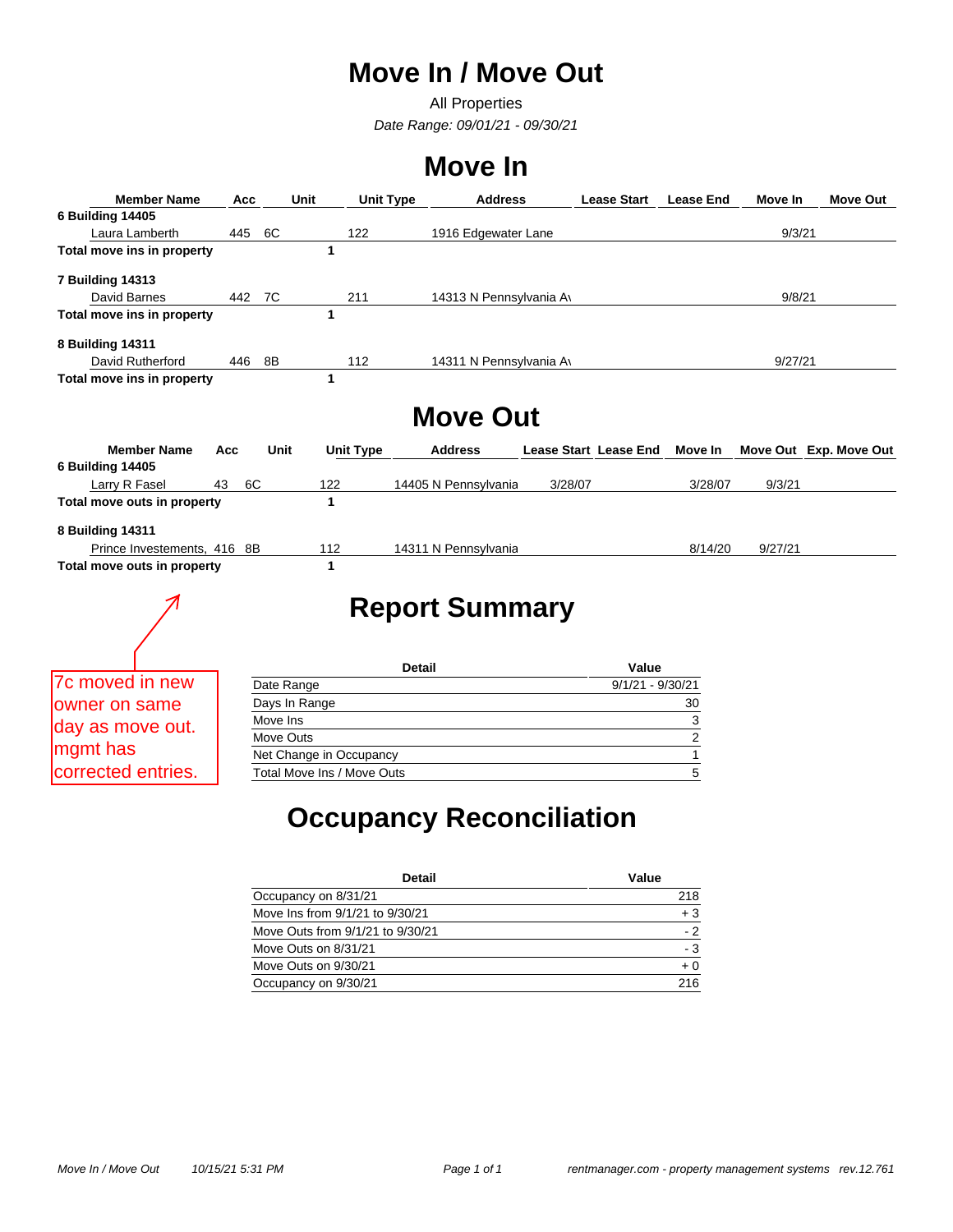# **Move In / Move Out**

All Properties *Date Range: 09/01/21 - 09/30/21*

# **Move In**

| <b>Member Name</b>          | Acc      |               | <b>Unit</b><br><b>Unit Type</b> | <b>Address</b>          |                              | <b>Lease Start</b> | <b>Lease End</b> | Move In | Move Out               |
|-----------------------------|----------|---------------|---------------------------------|-------------------------|------------------------------|--------------------|------------------|---------|------------------------|
| <b>6 Building 14405</b>     |          |               |                                 |                         |                              |                    |                  |         |                        |
| Laura Lamberth              | 445      | 6C            | 122                             | 1916 Edgewater Lane     |                              |                    |                  | 9/3/21  |                        |
| Total move ins in property  |          |               | 1                               |                         |                              |                    |                  |         |                        |
| <b>7 Building 14313</b>     |          |               |                                 |                         |                              |                    |                  |         |                        |
| David Barnes                | 442      | 7C            | 211                             | 14313 N Pennsylvania Av |                              |                    |                  | 9/8/21  |                        |
| Total move ins in property  |          |               | 1                               |                         |                              |                    |                  |         |                        |
| 8 Building 14311            |          |               |                                 |                         |                              |                    |                  |         |                        |
| David Rutherford            | 446      | 8B            | 112                             | 14311 N Pennsylvania Av |                              |                    |                  | 9/27/21 |                        |
| Total move ins in property  |          |               | 1                               |                         |                              |                    |                  |         |                        |
|                             |          |               |                                 | <b>Move Out</b>         |                              |                    |                  |         |                        |
| <b>Member Name</b>          | Acc      | Unit          | <b>Unit Type</b>                | <b>Address</b>          | <b>Lease Start Lease End</b> |                    | Move In          |         | Move Out Exp. Move Out |
| <b>6 Building 14405</b>     |          |               |                                 |                         |                              |                    |                  |         |                        |
| Larry R Fasel               | 6C<br>43 |               | 122                             | 14405 N Pennsylvania    | 3/28/07                      |                    | 3/28/07          | 9/3/21  |                        |
| Total move outs in property |          |               | $\mathbf 1$                     |                         |                              |                    |                  |         |                        |
| 8 Building 14311            |          |               |                                 |                         |                              |                    |                  |         |                        |
| Prince Investements, 416 8B |          |               | 112                             | 14311 N Pennsylvania    |                              |                    | 8/14/20          | 9/27/21 |                        |
| Total move outs in property |          |               | 1                               |                         |                              |                    |                  |         |                        |
|                             |          |               |                                 | <b>Report Summary</b>   |                              |                    |                  |         |                        |
|                             |          |               |                                 |                         |                              |                    |                  |         |                        |
|                             |          |               |                                 |                         |                              |                    |                  |         |                        |
|                             |          |               |                                 | <b>Detail</b>           |                              | Value              |                  |         |                        |
| 7c moved in new             |          | Date Range    |                                 |                         |                              | $9/1/21 - 9/30/21$ |                  |         |                        |
| owner on same               |          | Days In Range |                                 |                         |                              |                    | 30               |         |                        |
| day as move out.            |          | Move Ins      |                                 |                         |                              |                    | $\frac{3}{2}$    |         |                        |
|                             |          | Move Outs     |                                 |                         |                              |                    |                  |         |                        |
| mgmt has                    |          |               | Net Change in Occupancy         |                         |                              |                    | $\mathbf{1}$     |         |                        |
|                             |          |               |                                 |                         |                              |                    |                  |         |                        |

# **Occupancy Reconciliation**

| <b>Detail</b>                    | Value |
|----------------------------------|-------|
| Occupancy on 8/31/21             | 218   |
| Move Ins from 9/1/21 to 9/30/21  | $+3$  |
| Move Outs from 9/1/21 to 9/30/21 | $-2$  |
| Move Outs on 8/31/21             | - 3   |
| Move Outs on 9/30/21             | $+0$  |
| Occupancy on 9/30/21             | 216   |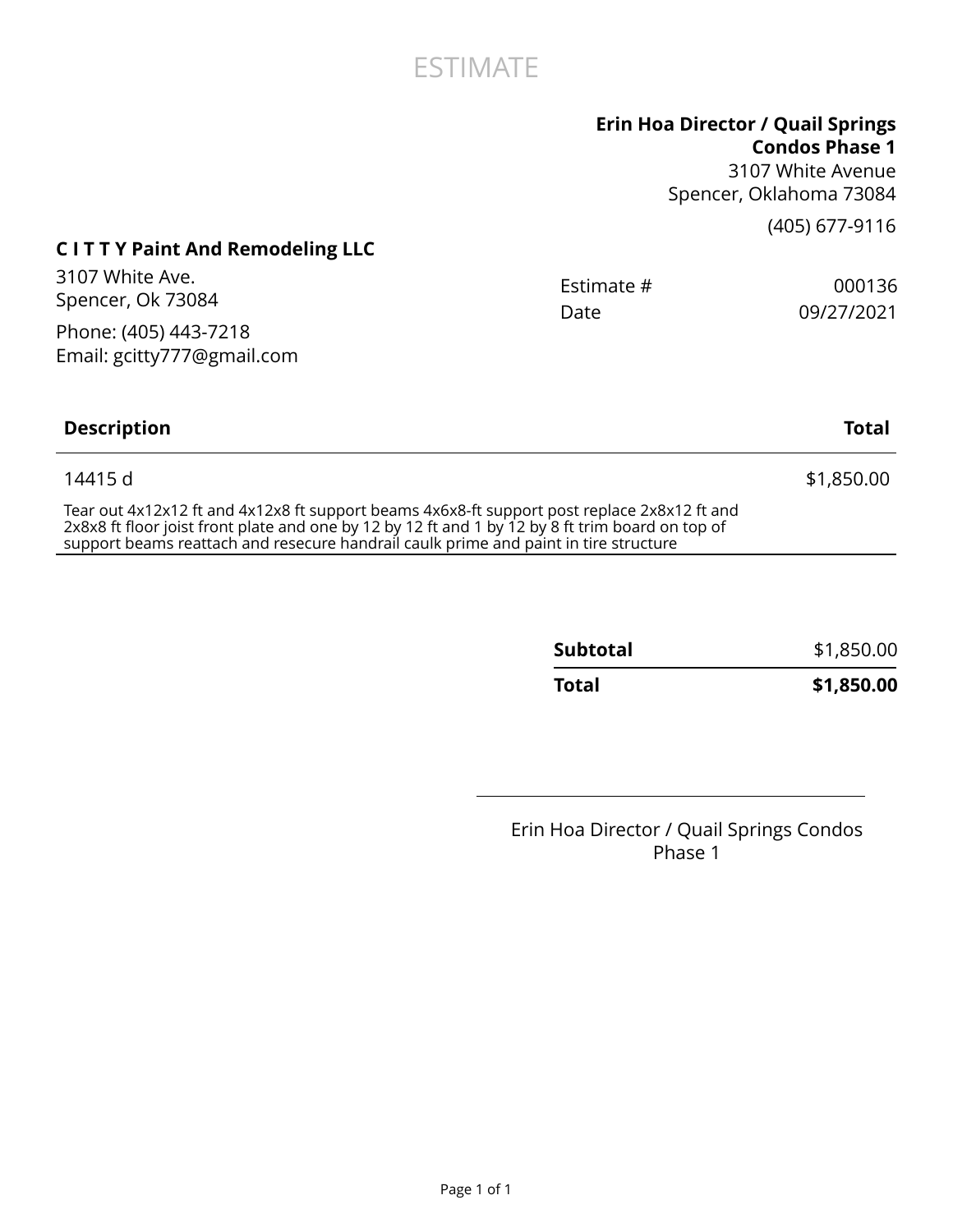## ESTIMATE

### **Erin Hoa Director / Quail Springs Condos Phase 1**

3107 White Avenue Spencer, Oklahoma 73084

(405) 677-9116

## **C I T T Y Paint And Remodeling LLC**

| 3107 White Ave.<br>Spencer, Ok 73084                                                                                                                                                            | Estimate #<br>Date | 000136<br>09/27/2021 |
|-------------------------------------------------------------------------------------------------------------------------------------------------------------------------------------------------|--------------------|----------------------|
| Phone: (405) 443-7218<br>Email: gcitty777@gmail.com                                                                                                                                             |                    |                      |
| <b>Description</b>                                                                                                                                                                              |                    | Total                |
| 14415 d                                                                                                                                                                                         |                    | \$1,850.00           |
| Tear out 4x12x12 ft and 4x12x8 ft support beams 4x6x8-ft support post replace 2x8x12 ft and<br>2x8x8 ft floor joist front plate and one by 12 by 12 ft and 1 by 12 by 8 ft trim hoard on top of |                    |                      |

2x8x8 ft floor joist front plate and one by 12 by 12 ft and 1 by 12 by 8 ft trim board on top of support beams reattach and resecure handrail caulk prime and paint in tire structure

| <b>Total</b>    | \$1,850.00 |
|-----------------|------------|
| <b>Subtotal</b> | \$1,850.00 |

Erin Hoa Director / Quail Springs Condos Phase 1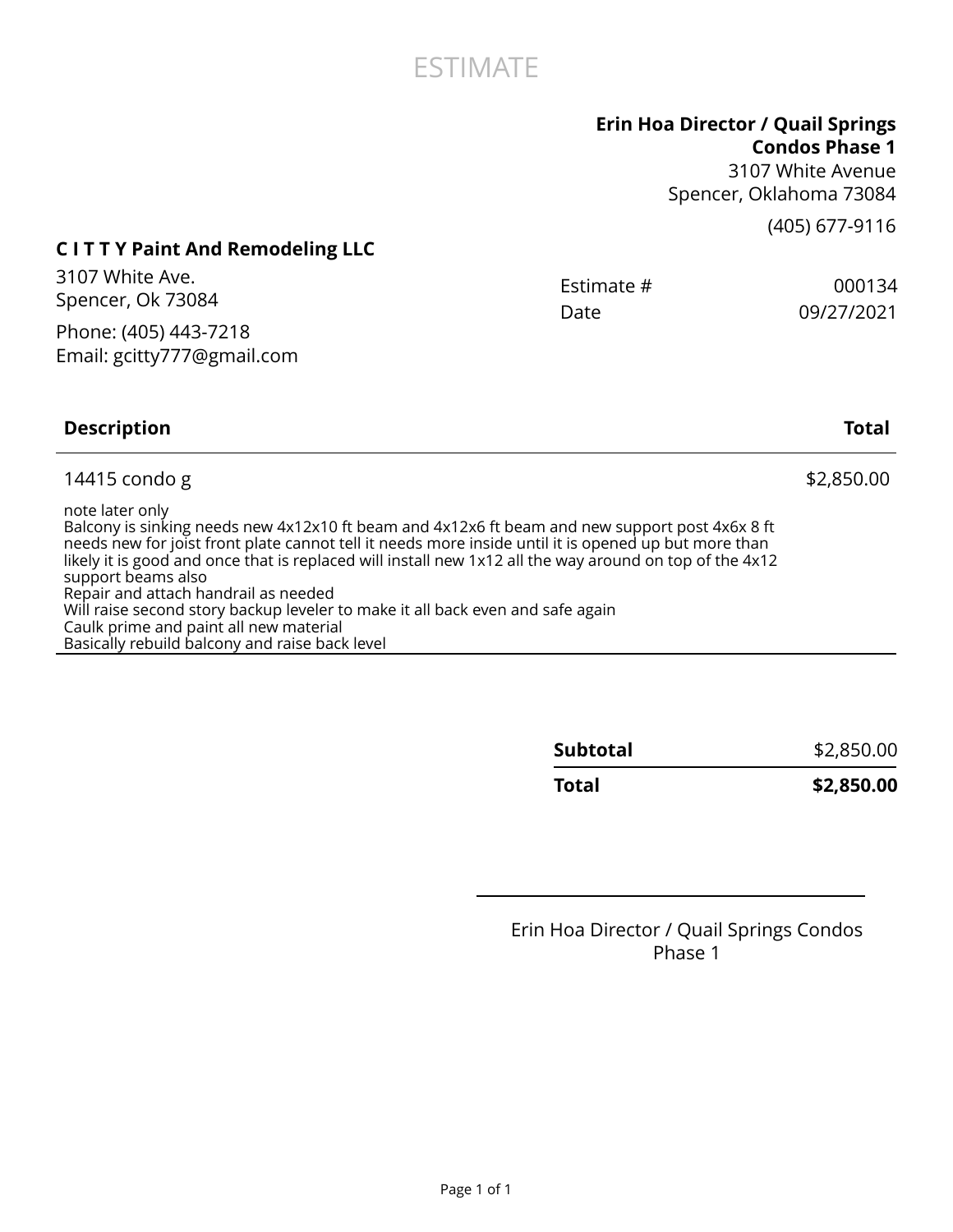

## **Erin Hoa Director / Quail Springs**

**Condos Phase 1** 3107 White Avenue Spencer, Oklahoma 73084

(405) 677-9116

## **C I T T Y Paint And Remodeling LLC**

| 3107 White Ave.            | Estimate # | 000134     |
|----------------------------|------------|------------|
| Spencer, Ok 73084          | Date       | 09/27/2021 |
| Phone: (405) 443-7218      |            |            |
| Email: gcitty777@gmail.com |            |            |
|                            |            |            |

### **Description Total** 14415 condo g  $$2,850.00$ note later only Balcony is sinking needs new 4x12x10 ft beam and 4x12x6 ft beam and new support post 4x6x 8 ft needs new for joist front plate cannot tell it needs more inside until it is opened up but more than likely it is good and once that is replaced will install new 1x12 all the way around on top of the 4x12 support beams also Repair and attach handrail as needed Will raise second story backup leveler to make it all back even and safe again Caulk prime and paint all new material Basically rebuild balcony and raise back level

| <b>Subtotal</b> | \$2,850.00 |
|-----------------|------------|
| Total           | \$2,850.00 |

## Erin Hoa Director / Quail Springs Condos Phase 1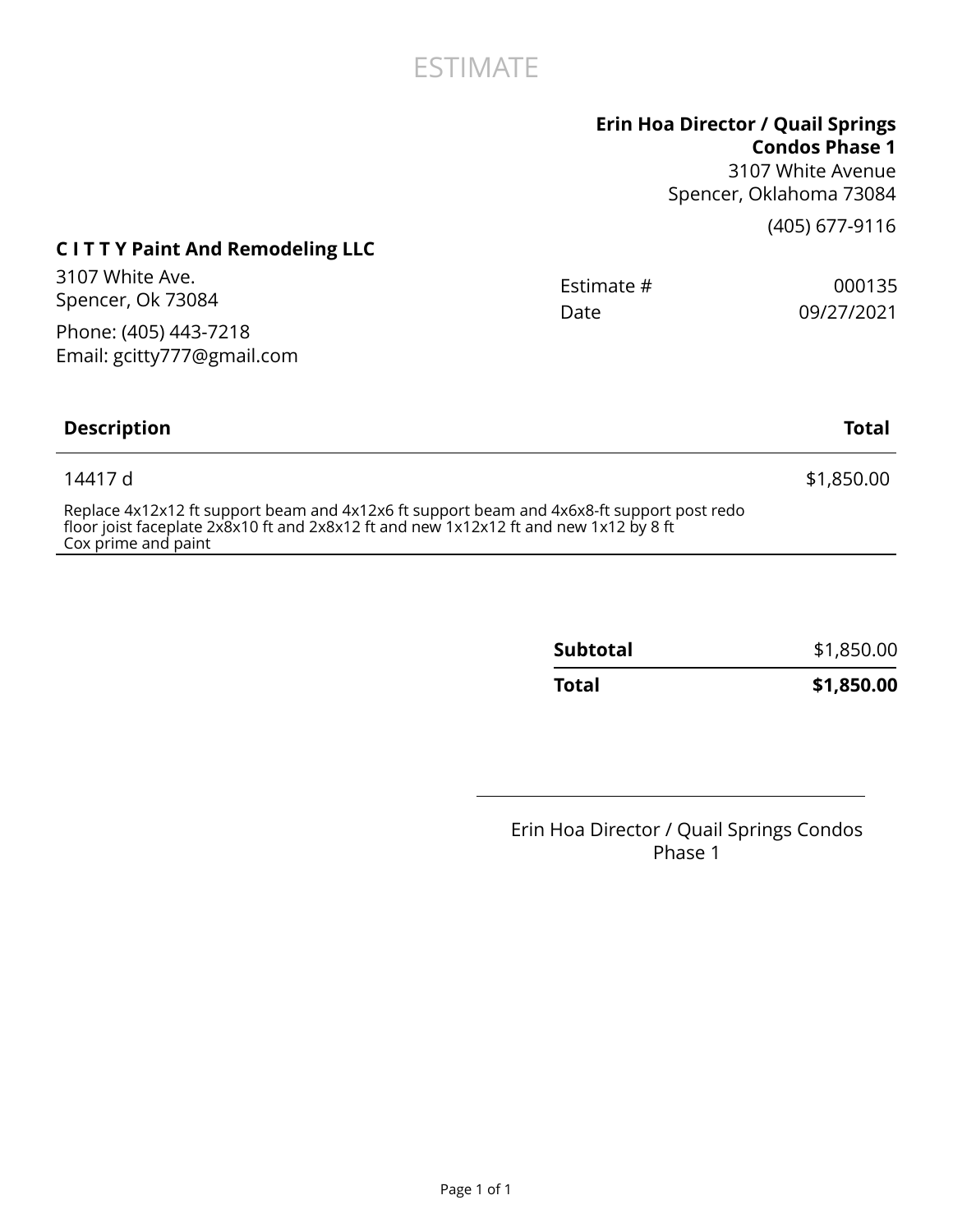## ESTIMATE

## **Erin Hoa Director / Quail Springs**

**Condos Phase 1** 3107 White Avenue Spencer, Oklahoma 73084

(405) 677-9116

## **C I T T Y Paint And Remodeling LLC**

| 3107 White Ave.<br>Spencer, Ok 73084                                                                                                                                               | Estimate #<br>Date | 000135<br>09/27/2021 |
|------------------------------------------------------------------------------------------------------------------------------------------------------------------------------------|--------------------|----------------------|
| Phone: (405) 443-7218<br>Email: gcitty777@gmail.com                                                                                                                                |                    |                      |
| <b>Description</b>                                                                                                                                                                 |                    | <b>Total</b>         |
| 14417 d                                                                                                                                                                            |                    | \$1,850.00           |
| Replace 4x12x12 ft support beam and 4x12x6 ft support beam and 4x6x8-ft support post redo<br>floor joist faceplate 2x8x10 ft and 2x8x12 ft and new 1x12x12 ft and new 1x12 by 8 ft |                    |                      |

Cox prime and paint

| Total           | \$1,850.00 |
|-----------------|------------|
| <b>Subtotal</b> | \$1,850.00 |

Erin Hoa Director / Quail Springs Condos Phase 1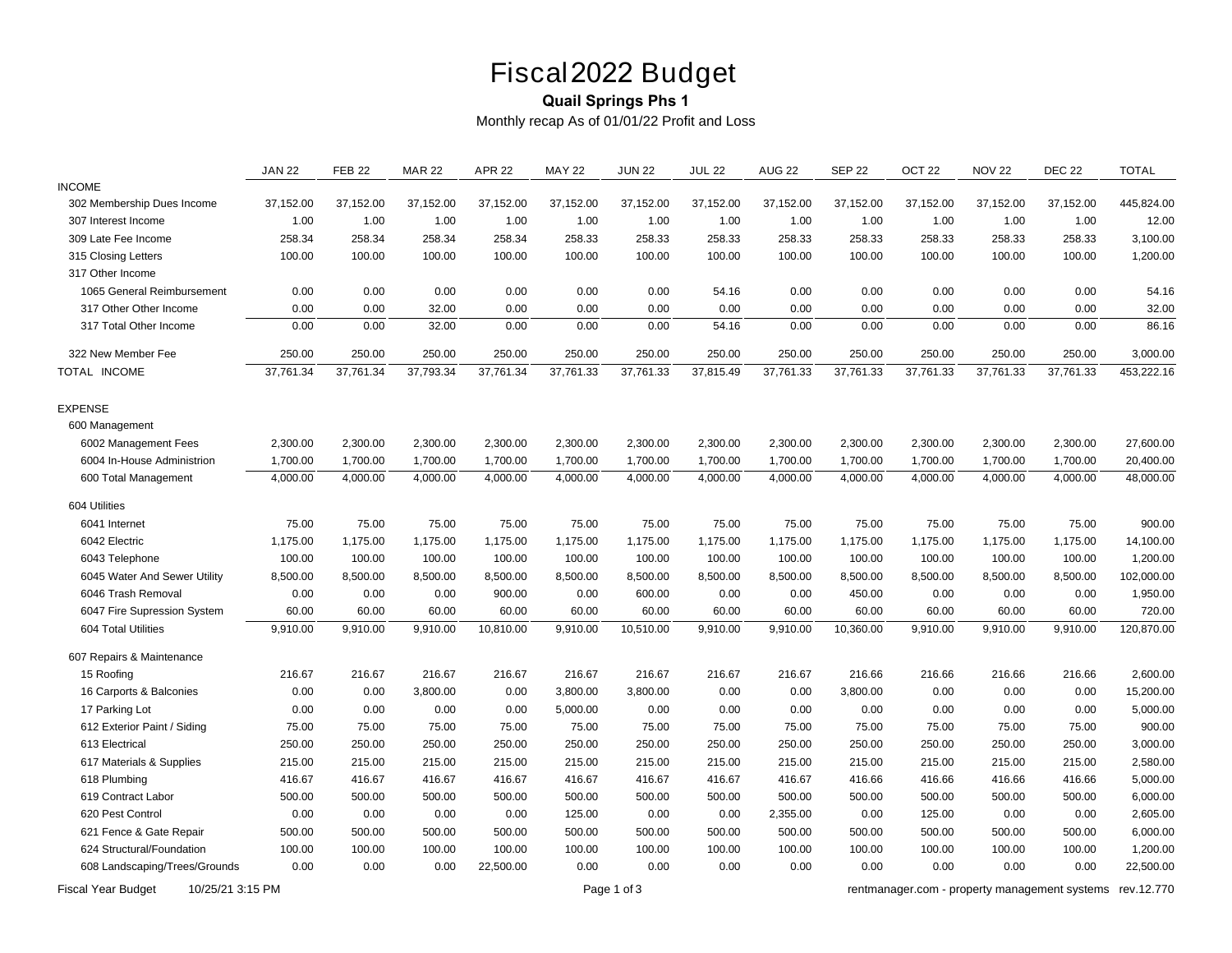# Fiscal 2022 Budget

### **Quail Springs Phs 1**

*Monthly recap As of 01/01/22 Profit and Loss*

|                               | <b>JAN 22</b> | <b>FEB 22</b> | <b>MAR 22</b> | <b>APR 22</b> | <b>MAY 22</b> | <b>JUN 22</b> | <b>JUL 22</b> | <b>AUG 22</b> | <b>SEP 22</b> | OCT <sub>22</sub> | <b>NOV 22</b> | <b>DEC 22</b> | <b>TOTAL</b> |
|-------------------------------|---------------|---------------|---------------|---------------|---------------|---------------|---------------|---------------|---------------|-------------------|---------------|---------------|--------------|
| <b>INCOME</b>                 |               |               |               |               |               |               |               |               |               |                   |               |               |              |
| 302 Membership Dues Income    | 37,152.00     | 37,152.00     | 37,152.00     | 37,152.00     | 37,152.00     | 37,152.00     | 37,152.00     | 37,152.00     | 37,152.00     | 37,152.00         | 37,152.00     | 37,152.00     | 445,824.00   |
| 307 Interest Income           | 1.00          | 1.00          | 1.00          | 1.00          | 1.00          | 1.00          | 1.00          | 1.00          | 1.00          | 1.00              | 1.00          | 1.00          | 12.00        |
| 309 Late Fee Income           | 258.34        | 258.34        | 258.34        | 258.34        | 258.33        | 258.33        | 258.33        | 258.33        | 258.33        | 258.33            | 258.33        | 258.33        | 3,100.00     |
| 315 Closing Letters           | 100.00        | 100.00        | 100.00        | 100.00        | 100.00        | 100.00        | 100.00        | 100.00        | 100.00        | 100.00            | 100.00        | 100.00        | 1,200.00     |
| 317 Other Income              |               |               |               |               |               |               |               |               |               |                   |               |               |              |
| 1065 General Reimbursement    | 0.00          | 0.00          | 0.00          | 0.00          | 0.00          | 0.00          | 54.16         | 0.00          | 0.00          | 0.00              | 0.00          | 0.00          | 54.16        |
| 317 Other Other Income        | 0.00          | 0.00          | 32.00         | 0.00          | 0.00          | 0.00          | 0.00          | 0.00          | 0.00          | 0.00              | 0.00          | 0.00          | 32.00        |
| 317 Total Other Income        | 0.00          | 0.00          | 32.00         | 0.00          | 0.00          | 0.00          | 54.16         | 0.00          | 0.00          | 0.00              | 0.00          | 0.00          | 86.16        |
| 322 New Member Fee            | 250.00        | 250.00        | 250.00        | 250.00        | 250.00        | 250.00        | 250.00        | 250.00        | 250.00        | 250.00            | 250.00        | 250.00        | 3,000.00     |
| TOTAL INCOME                  | 37,761.34     | 37,761.34     | 37,793.34     | 37,761.34     | 37,761.33     | 37,761.33     | 37,815.49     | 37,761.33     | 37,761.33     | 37,761.33         | 37,761.33     | 37,761.33     | 453,222.16   |
| <b>EXPENSE</b>                |               |               |               |               |               |               |               |               |               |                   |               |               |              |
| 600 Management                |               |               |               |               |               |               |               |               |               |                   |               |               |              |
| 6002 Management Fees          | 2,300.00      | 2,300.00      | 2,300.00      | 2,300.00      | 2,300.00      | 2,300.00      | 2,300.00      | 2,300.00      | 2,300.00      | 2,300.00          | 2,300.00      | 2,300.00      | 27,600.00    |
| 6004 In-House Administrion    | 1,700.00      | 1,700.00      | 1,700.00      | 1,700.00      | 1,700.00      | 1,700.00      | 1,700.00      | 1,700.00      | 1,700.00      | 1,700.00          | 1,700.00      | 1,700.00      | 20,400.00    |
| 600 Total Management          | 4,000.00      | 4,000.00      | 4,000.00      | 4,000.00      | 4,000.00      | 4,000.00      | 4,000.00      | 4,000.00      | 4,000.00      | 4,000.00          | 4,000.00      | 4,000.00      | 48,000.00    |
| 604 Utilities                 |               |               |               |               |               |               |               |               |               |                   |               |               |              |
| 6041 Internet                 | 75.00         | 75.00         | 75.00         | 75.00         | 75.00         | 75.00         | 75.00         | 75.00         | 75.00         | 75.00             | 75.00         | 75.00         | 900.00       |
| 6042 Electric                 | 1,175.00      | 1,175.00      | 1,175.00      | 1,175.00      | 1,175.00      | 1,175.00      | 1,175.00      | 1,175.00      | 1,175.00      | 1,175.00          | 1,175.00      | 1,175.00      | 14,100.00    |
| 6043 Telephone                | 100.00        | 100.00        | 100.00        | 100.00        | 100.00        | 100.00        | 100.00        | 100.00        | 100.00        | 100.00            | 100.00        | 100.00        | 1,200.00     |
| 6045 Water And Sewer Utility  | 8,500.00      | 8,500.00      | 8,500.00      | 8,500.00      | 8,500.00      | 8,500.00      | 8,500.00      | 8,500.00      | 8,500.00      | 8,500.00          | 8,500.00      | 8,500.00      | 102,000.00   |
| 6046 Trash Removal            | 0.00          | 0.00          | 0.00          | 900.00        | 0.00          | 600.00        | 0.00          | 0.00          | 450.00        | 0.00              | 0.00          | 0.00          | 1,950.00     |
| 6047 Fire Supression System   | 60.00         | 60.00         | 60.00         | 60.00         | 60.00         | 60.00         | 60.00         | 60.00         | 60.00         | 60.00             | 60.00         | 60.00         | 720.00       |
| 604 Total Utilities           | 9,910.00      | 9,910.00      | 9,910.00      | 10,810.00     | 9,910.00      | 10,510.00     | 9,910.00      | 9,910.00      | 10,360.00     | 9,910.00          | 9,910.00      | 9,910.00      | 120,870.00   |
| 607 Repairs & Maintenance     |               |               |               |               |               |               |               |               |               |                   |               |               |              |
| 15 Roofing                    | 216.67        | 216.67        | 216.67        | 216.67        | 216.67        | 216.67        | 216.67        | 216.67        | 216.66        | 216.66            | 216.66        | 216.66        | 2,600.00     |
| 16 Carports & Balconies       | 0.00          | 0.00          | 3,800.00      | 0.00          | 3,800.00      | 3,800.00      | 0.00          | 0.00          | 3,800.00      | 0.00              | 0.00          | 0.00          | 15,200.00    |
| 17 Parking Lot                | 0.00          | 0.00          | 0.00          | 0.00          | 5,000.00      | 0.00          | 0.00          | 0.00          | 0.00          | 0.00              | 0.00          | 0.00          | 5,000.00     |
| 612 Exterior Paint / Siding   | 75.00         | 75.00         | 75.00         | 75.00         | 75.00         | 75.00         | 75.00         | 75.00         | 75.00         | 75.00             | 75.00         | 75.00         | 900.00       |
| 613 Electrical                | 250.00        | 250.00        | 250.00        | 250.00        | 250.00        | 250.00        | 250.00        | 250.00        | 250.00        | 250.00            | 250.00        | 250.00        | 3,000.00     |
| 617 Materials & Supplies      | 215.00        | 215.00        | 215.00        | 215.00        | 215.00        | 215.00        | 215.00        | 215.00        | 215.00        | 215.00            | 215.00        | 215.00        | 2,580.00     |
| 618 Plumbing                  | 416.67        | 416.67        | 416.67        | 416.67        | 416.67        | 416.67        | 416.67        | 416.67        | 416.66        | 416.66            | 416.66        | 416.66        | 5,000.00     |
| 619 Contract Labor            | 500.00        | 500.00        | 500.00        | 500.00        | 500.00        | 500.00        | 500.00        | 500.00        | 500.00        | 500.00            | 500.00        | 500.00        | 6,000.00     |
| 620 Pest Control              | 0.00          | 0.00          | 0.00          | 0.00          | 125.00        | 0.00          | 0.00          | 2,355.00      | 0.00          | 125.00            | 0.00          | 0.00          | 2,605.00     |
| 621 Fence & Gate Repair       | 500.00        | 500.00        | 500.00        | 500.00        | 500.00        | 500.00        | 500.00        | 500.00        | 500.00        | 500.00            | 500.00        | 500.00        | 6,000.00     |
| 624 Structural/Foundation     | 100.00        | 100.00        | 100.00        | 100.00        | 100.00        | 100.00        | 100.00        | 100.00        | 100.00        | 100.00            | 100.00        | 100.00        | 1,200.00     |
| 608 Landscaping/Trees/Grounds | 0.00          | 0.00          | 0.00          | 22,500.00     | 0.00          | 0.00          | 0.00          | 0.00          | 0.00          | 0.00              | 0.00          | 0.00          | 22,500.00    |

*Fiscal Year Budget 10/25/21 3:15 PM Page 1 of 3 [rentmanager.com - property management systems rev.12.770](http://www.rentmanager.com)*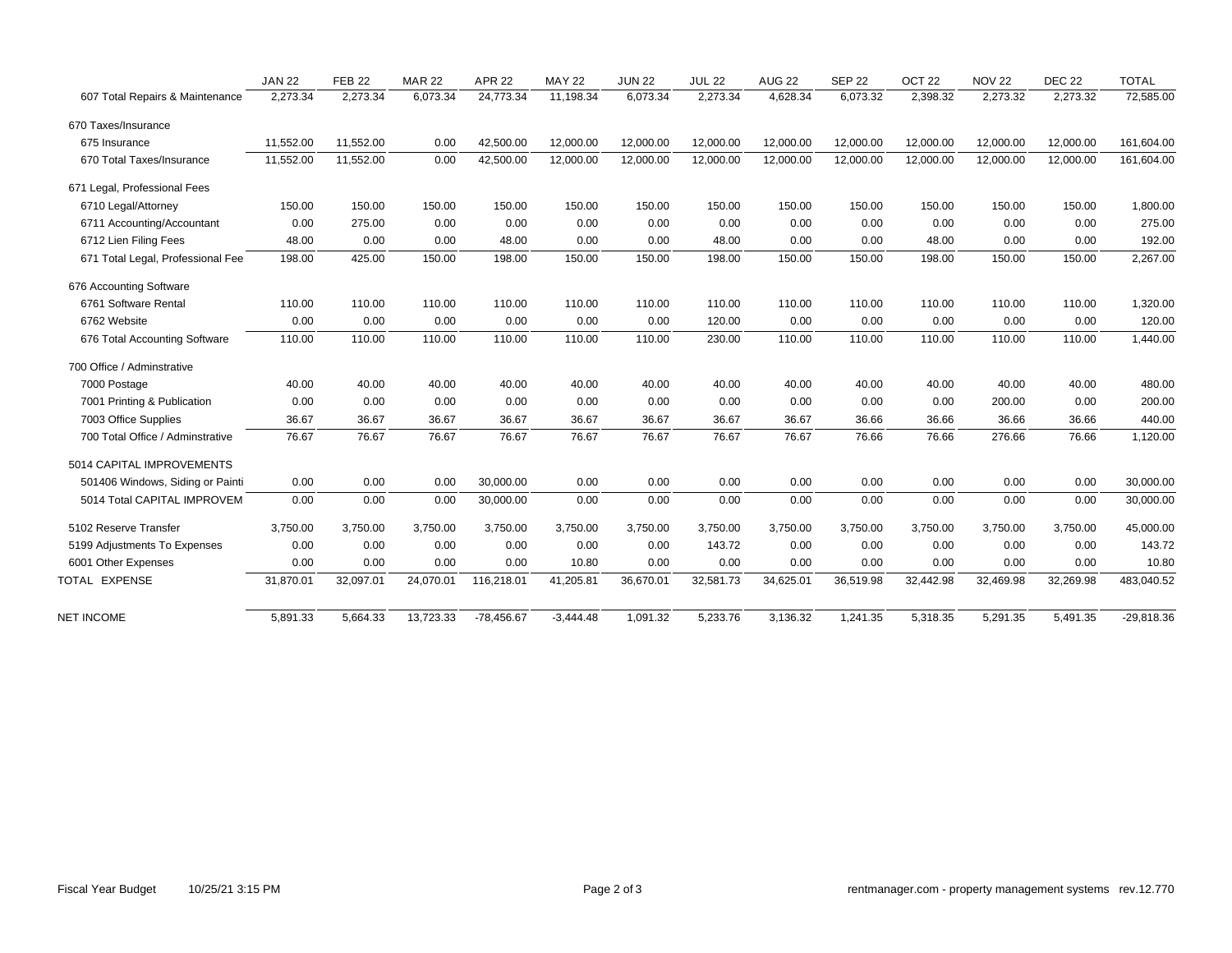|                                   | <b>JAN 22</b> | <b>FEB 22</b> | <b>MAR 22</b> | <b>APR 22</b> | <b>MAY 22</b> | <b>JUN 22</b> | <b>JUL 22</b> | <b>AUG 22</b> | <b>SEP 22</b> | OCT <sub>22</sub> | <b>NOV 22</b> | <b>DEC 22</b> | <b>TOTAL</b> |
|-----------------------------------|---------------|---------------|---------------|---------------|---------------|---------------|---------------|---------------|---------------|-------------------|---------------|---------------|--------------|
| 607 Total Repairs & Maintenance   | 2,273.34      | 2,273.34      | 6,073.34      | 24,773.34     | 11,198.34     | 6,073.34      | 2,273.34      | 4,628.34      | 6,073.32      | 2,398.32          | 2,273.32      | 2,273.32      | 72,585.00    |
| 670 Taxes/Insurance               |               |               |               |               |               |               |               |               |               |                   |               |               |              |
| 675 Insurance                     | 11,552.00     | 11,552.00     | 0.00          | 42,500.00     | 12,000.00     | 12,000.00     | 12,000.00     | 12,000.00     | 12,000.00     | 12,000.00         | 12,000.00     | 12,000.00     | 161,604.00   |
| 670 Total Taxes/Insurance         | 11,552.00     | 11,552.00     | 0.00          | 42,500.00     | 12,000.00     | 12,000.00     | 12,000.00     | 12,000.00     | 12,000.00     | 12,000.00         | 12,000.00     | 12,000.00     | 161,604.00   |
| 671 Legal, Professional Fees      |               |               |               |               |               |               |               |               |               |                   |               |               |              |
| 6710 Legal/Attorney               | 150.00        | 150.00        | 150.00        | 150.00        | 150.00        | 150.00        | 150.00        | 150.00        | 150.00        | 150.00            | 150.00        | 150.00        | 1,800.00     |
| 6711 Accounting/Accountant        | 0.00          | 275.00        | 0.00          | 0.00          | 0.00          | 0.00          | 0.00          | 0.00          | 0.00          | 0.00              | 0.00          | 0.00          | 275.00       |
| 6712 Lien Filing Fees             | 48.00         | 0.00          | 0.00          | 48.00         | 0.00          | 0.00          | 48.00         | 0.00          | 0.00          | 48.00             | 0.00          | 0.00          | 192.00       |
| 671 Total Legal, Professional Fee | 198.00        | 425.00        | 150.00        | 198.00        | 150.00        | 150.00        | 198.00        | 150.00        | 150.00        | 198.00            | 150.00        | 150.00        | 2,267.00     |
| 676 Accounting Software           |               |               |               |               |               |               |               |               |               |                   |               |               |              |
| 6761 Software Rental              | 110.00        | 110.00        | 110.00        | 110.00        | 110.00        | 110.00        | 110.00        | 110.00        | 110.00        | 110.00            | 110.00        | 110.00        | 1,320.00     |
| 6762 Website                      | 0.00          | 0.00          | 0.00          | 0.00          | 0.00          | 0.00          | 120.00        | 0.00          | 0.00          | 0.00              | 0.00          | 0.00          | 120.00       |
| 676 Total Accounting Software     | 110.00        | 110.00        | 110.00        | 110.00        | 110.00        | 110.00        | 230.00        | 110.00        | 110.00        | 110.00            | 110.00        | 110.00        | 1,440.00     |
| 700 Office / Adminstrative        |               |               |               |               |               |               |               |               |               |                   |               |               |              |
| 7000 Postage                      | 40.00         | 40.00         | 40.00         | 40.00         | 40.00         | 40.00         | 40.00         | 40.00         | 40.00         | 40.00             | 40.00         | 40.00         | 480.00       |
| 7001 Printing & Publication       | 0.00          | 0.00          | 0.00          | 0.00          | 0.00          | 0.00          | 0.00          | 0.00          | 0.00          | 0.00              | 200.00        | 0.00          | 200.00       |
| 7003 Office Supplies              | 36.67         | 36.67         | 36.67         | 36.67         | 36.67         | 36.67         | 36.67         | 36.67         | 36.66         | 36.66             | 36.66         | 36.66         | 440.00       |
| 700 Total Office / Adminstrative  | 76.67         | 76.67         | 76.67         | 76.67         | 76.67         | 76.67         | 76.67         | 76.67         | 76.66         | 76.66             | 276.66        | 76.66         | 1,120.00     |
| 5014 CAPITAL IMPROVEMENTS         |               |               |               |               |               |               |               |               |               |                   |               |               |              |
| 501406 Windows, Siding or Painti  | 0.00          | 0.00          | 0.00          | 30,000.00     | 0.00          | 0.00          | 0.00          | 0.00          | 0.00          | 0.00              | 0.00          | 0.00          | 30,000.00    |
| 5014 Total CAPITAL IMPROVEM       | 0.00          | 0.00          | 0.00          | 30,000.00     | 0.00          | 0.00          | 0.00          | 0.00          | 0.00          | 0.00              | 0.00          | 0.00          | 30,000.00    |
| 5102 Reserve Transfer             | 3,750.00      | 3,750.00      | 3,750.00      | 3,750.00      | 3,750.00      | 3,750.00      | 3,750.00      | 3,750.00      | 3,750.00      | 3,750.00          | 3,750.00      | 3,750.00      | 45,000.00    |
| 5199 Adjustments To Expenses      | 0.00          | 0.00          | 0.00          | 0.00          | 0.00          | 0.00          | 143.72        | 0.00          | 0.00          | 0.00              | 0.00          | 0.00          | 143.72       |
| 6001 Other Expenses               | 0.00          | 0.00          | 0.00          | 0.00          | 10.80         | 0.00          | 0.00          | 0.00          | 0.00          | 0.00              | 0.00          | 0.00          | 10.80        |
| TOTAL EXPENSE                     | 31,870.01     | 32,097.01     | 24,070.01     | 116,218.01    | 41,205.81     | 36,670.01     | 32,581.73     | 34,625.01     | 36,519.98     | 32,442.98         | 32,469.98     | 32,269.98     | 483,040.52   |
|                                   |               |               |               |               |               |               |               |               |               |                   |               |               |              |
| <b>NET INCOME</b>                 | 5,891.33      | 5,664.33      | 13,723.33     | $-78,456.67$  | $-3,444.48$   | 1,091.32      | 5,233.76      | 3,136.32      | 1,241.35      | 5,318.35          | 5,291.35      | 5,491.35      | $-29,818.36$ |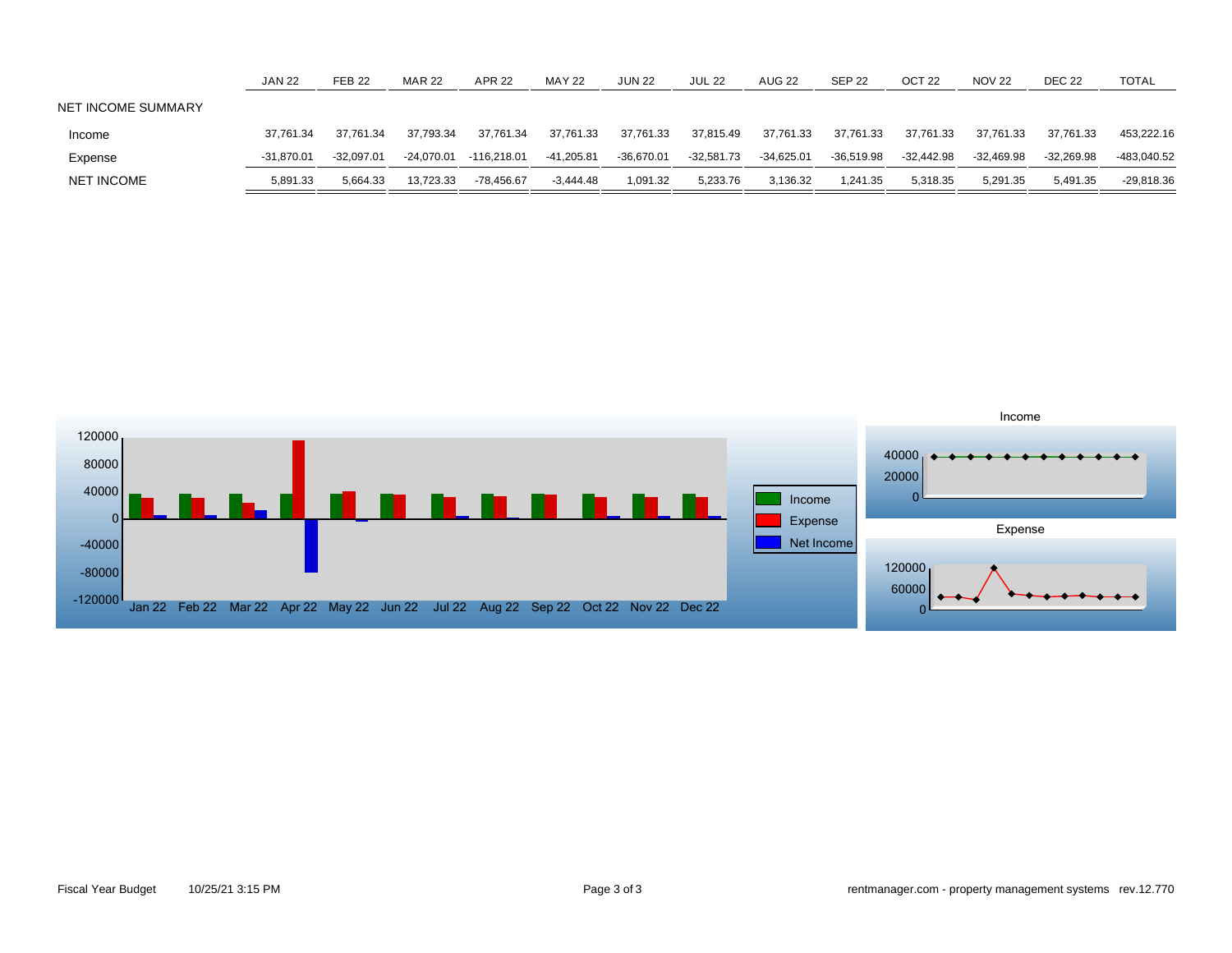|                    | <b>JAN 22</b> | <b>FEB 22</b> | <b>MAR 22</b> | <b>APR 22</b> | <b>MAY 22</b> | JUN 22       | <b>JUL 22</b> | <b>AUG 22</b> | <b>SEP 22</b> | OCT <sub>22</sub> | <b>NOV 22</b> | <b>DEC 22</b> | TOTAL        |
|--------------------|---------------|---------------|---------------|---------------|---------------|--------------|---------------|---------------|---------------|-------------------|---------------|---------------|--------------|
| NET INCOME SUMMARY |               |               |               |               |               |              |               |               |               |                   |               |               |              |
| Income             | 37.761.34     | 37.761.34     | 37.793.34     | 37.761.34     | 37,761.33     | 37.761.33    | 37.815.49     | 37.761.33     | 37.761.33     | 37.761.33         | 37.761.33     | 37,761.33     | 453,222.16   |
| Expense            | $-31,870.01$  | $-32.097.01$  | -24.070.01    | -116,218.01   | -41,205.81    | $-36,670.01$ | $-32,581.73$  | $-34,625.01$  | $-36.519.98$  | $-32.442.98$      | $-32,469.98$  | $-32,269.98$  | -483,040.52  |
| <b>NET INCOME</b>  | 5,891.33      | 5.664.33      | 13.723.33     | $-78,456.67$  | -3.444.48     | 1,091.32     | 5,233.76      | 3,136.32      | 1,241.35      | 5,318.35          | 5,291.35      | 5.491.35      | $-29,818.36$ |

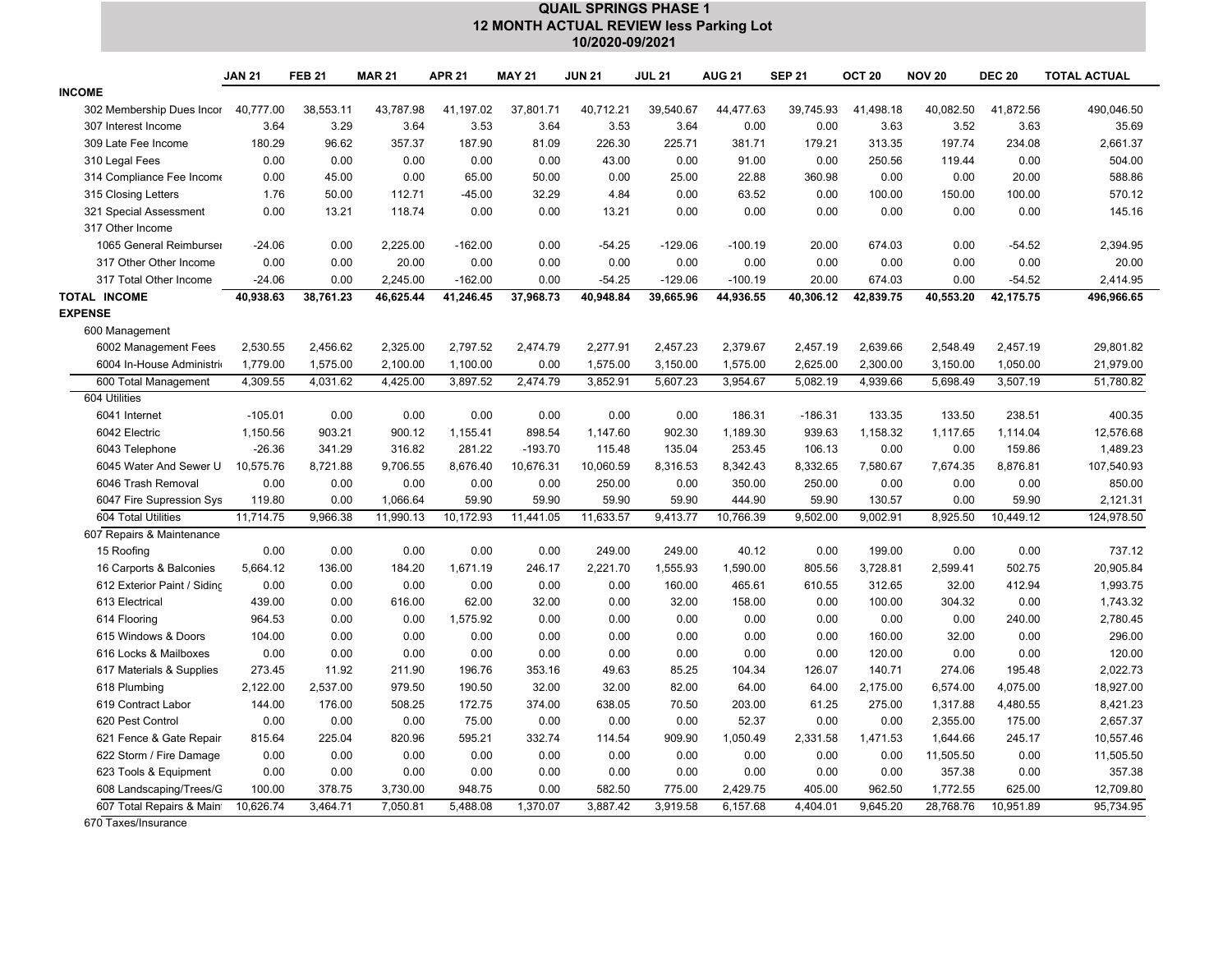|                                     | <b>QUAIL SPRINGS PHASE 1</b>            |                   |                  |                  |                 |                |                |                 |                 |                    |                    |                      |                       |  |
|-------------------------------------|-----------------------------------------|-------------------|------------------|------------------|-----------------|----------------|----------------|-----------------|-----------------|--------------------|--------------------|----------------------|-----------------------|--|
|                                     | 12 MONTH ACTUAL REVIEW less Parking Lot |                   |                  |                  |                 |                |                |                 |                 |                    |                    |                      |                       |  |
|                                     | 10/2020-09/2021                         |                   |                  |                  |                 |                |                |                 |                 |                    |                    |                      |                       |  |
|                                     | <b>JAN 21</b>                           | <b>FEB 21</b>     | <b>MAR 21</b>    | <b>APR 21</b>    | <b>MAY 21</b>   | <b>JUN 21</b>  | <b>JUL 21</b>  | <b>AUG 21</b>   | <b>SEP 21</b>   | OCT <sub>20</sub>  | <b>NOV 20</b>      | <b>DEC 20</b>        | <b>TOTAL ACTUAL</b>   |  |
| <b>INCOME</b>                       |                                         |                   |                  |                  |                 |                |                |                 |                 |                    |                    |                      |                       |  |
| 302 Membership Dues Incor           | 40,777.00                               | 38,553.11         | 43,787.98        | 41,197.02        | 37,801.71       | 40,712.21      | 39,540.67      | 44,477.63       | 39,745.93       | 41.498.18          | 40,082.50          | 41,872.56            | 490,046.50            |  |
| 307 Interest Income                 | 3.64                                    | 3.29              | 3.64             | 3.53             | 3.64            | 3.53           | 3.64           | 0.00            | 0.00            | 3.63               | 3.52               | 3.63                 | 35.69                 |  |
| 309 Late Fee Income                 | 180.29                                  | 96.62             | 357.37           | 187.90           | 81.09           | 226.30         | 225.71         | 381.71          | 179.21          | 313.35             | 197.74             | 234.08               | 2,661.37              |  |
| 310 Legal Fees                      | 0.00                                    | 0.00              | 0.00             | 0.00             | 0.00            | 43.00          | 0.00           | 91.00           | 0.00            | 250.56             | 119.44             | 0.00                 | 504.00                |  |
| 314 Compliance Fee Income           | 0.00                                    | 45.00             | 0.00             | 65.00            | 50.00           | 0.00           | 25.00          | 22.88           | 360.98          | 0.00               | 0.00               | 20.00                | 588.86                |  |
| 315 Closing Letters                 | 1.76                                    | 50.00             | 112.71           | $-45.00$         | 32.29           | 4.84           | 0.00           | 63.52           | 0.00            | 100.00             | 150.00             | 100.00               | 570.12                |  |
| 321 Special Assessment              | 0.00                                    | 13.21             | 118.74           | 0.00             | 0.00            | 13.21          | 0.00           | 0.00            | 0.00            | 0.00               | 0.00               | 0.00                 | 145.16                |  |
| 317 Other Income                    |                                         |                   |                  |                  |                 |                |                |                 |                 |                    |                    |                      |                       |  |
| 1065 General Reimburser             | $-24.06$                                | 0.00              | 2,225.00         | $-162.00$        | 0.00            | $-54.25$       | $-129.06$      | $-100.19$       | 20.00           | 674.03             | 0.00               | $-54.52$             | 2,394.95              |  |
| 317 Other Other Income              | 0.00                                    | 0.00              | 20.00            | 0.00             | 0.00            | 0.00           | 0.00           | 0.00            | 0.00            | 0.00               | 0.00               | 0.00                 | 20.00                 |  |
| 317 Total Other Income              | $-24.06$                                | 0.00              | 2,245.00         | $-162.00$        | 0.00            | $-54.25$       | $-129.06$      | $-100.19$       | 20.00           | 674.03             | 0.00               | $-54.52$             | 2,414.95              |  |
| TOTAL INCOME                        | 40,938.63                               | 38,761.23         | 46,625.44        | 41,246.45        | 37,968.73       | 40,948.84      | 39,665.96      | 44,936.55       | 40,306.12       | 42,839.75          | 40,553.20          | 42,175.75            | 496,966.65            |  |
| <b>EXPENSE</b>                      |                                         |                   |                  |                  |                 |                |                |                 |                 |                    |                    |                      |                       |  |
| 600 Management                      |                                         |                   |                  |                  |                 |                |                |                 |                 |                    |                    |                      |                       |  |
| 6002 Management Fees                | 2,530.55                                | 2,456.62          | 2,325.00         | 2,797.52         | 2,474.79        | 2,277.91       | 2,457.23       | 2,379.67        | 2,457.19        | 2,639.66           | 2,548.49           | 2,457.19             | 29,801.82             |  |
| 6004 In-House Administri            | 1,779.00                                | 1,575.00          | 2,100.00         | 1,100.00         | 0.00            | 1,575.00       | 3,150.00       | 1,575.00        | 2,625.00        | 2,300.00           | 3,150.00           | 1,050.00             | 21,979.00             |  |
| 600 Total Management                | 4,309.55                                | 4,031.62          | 4,425.00         | 3,897.52         | 2,474.79        | 3,852.91       | 5.607.23       | 3,954.67        | 5,082.19        | 4,939.66           | 5.698.49           | 3,507.19             | 51,780.82             |  |
| 604 Utilities                       |                                         |                   |                  |                  |                 |                |                |                 |                 |                    |                    |                      |                       |  |
| 6041 Internet                       | $-105.01$                               | 0.00              | 0.00             | 0.00             | 0.00            | 0.00           | 0.00           | 186.31          | $-186.31$       | 133.35             | 133.50             | 238.51               | 400.35                |  |
| 6042 Electric                       | 1,150.56                                | 903.21            | 900.12           | 1,155.41         | 898.54          | 1,147.60       | 902.30         | 1,189.30        | 939.63          | 1,158.32           | 1,117.65           | 1,114.04             | 12,576.68             |  |
| 6043 Telephone                      | $-26.36$                                | 341.29            | 316.82           | 281.22           | $-193.70$       | 115.48         | 135.04         | 253.45          | 106.13          | 0.00               | 0.00               | 159.86               | 1,489.23              |  |
| 6045 Water And Sewer U              | 10,575.76                               | 8,721.88          | 9,706.55         | 8,676.40         | 10,676.31       | 10,060.59      | 8,316.53       | 8,342.43        | 8,332.65        | 7,580.67           | 7,674.35           | 8,876.81             | 107,540.93            |  |
| 6046 Trash Removal                  | 0.00                                    | 0.00              | 0.00             | 0.00             | 0.00            | 250.00         | 0.00           | 350.00          | 250.00          | 0.00               | 0.00               | 0.00                 | 850.00                |  |
| 6047 Fire Supression Sys            | 119.80                                  | 0.00              | 1,066.64         | 59.90            | 59.90           | 59.90          | 59.90          | 444.90          | 59.90           | 130.57             | 0.00               | 59.90                | 2,121.31              |  |
| 604 Total Utilities                 | 11,714.75                               | 9,966.38          | 11,990.13        | 10,172.93        | 11,441.05       | 11,633.57      | 9,413.77       | 10,766.39       | 9,502.00        | 9,002.91           | 8,925.50           | 10,449.12            | 124,978.50            |  |
| 607 Repairs & Maintenance           |                                         |                   |                  |                  |                 |                |                |                 |                 |                    |                    |                      |                       |  |
| 15 Roofing                          | 0.00                                    | 0.00              | 0.00             | 0.00             | 0.00            | 249.00         | 249.00         | 40.12           | 0.00            | 199.00             | 0.00               | 0.00                 | 737.12                |  |
| 16 Carports & Balconies             | 5,664.12                                | 136.00            | 184.20           | 1,671.19         | 246.17          | 2,221.70       | 1,555.93       | 1,590.00        | 805.56          | 3,728.81           | 2,599.41           | 502.75               | 20,905.84             |  |
| 612 Exterior Paint / Siding         | 0.00                                    | 0.00              | 0.00             | 0.00             | 0.00            | 0.00           | 160.00         | 465.61          | 610.55          | 312.65             | 32.00              | 412.94               | 1,993.75              |  |
| 613 Electrical                      | 439.00                                  | 0.00              | 616.00           | 62.00            | 32.00           | 0.00           | 32.00          | 158.00          | 0.00            | 100.00             | 304.32             | 0.00                 | 1,743.32              |  |
| 614 Flooring<br>615 Windows & Doors | 964.53                                  | 0.00<br>0.00      | 0.00             | 1,575.92         | 0.00<br>0.00    | 0.00           | 0.00<br>0.00   | 0.00<br>0.00    | 0.00            | 0.00               | 0.00               | 240.00               | 2,780.45              |  |
| 616 Locks & Mailboxes               | 104.00<br>0.00                          | 0.00              | 0.00<br>0.00     | 0.00<br>0.00     | 0.00            | 0.00<br>0.00   | 0.00           | 0.00            | 0.00<br>0.00    | 160.00<br>120.00   | 32.00<br>0.00      | 0.00<br>0.00         | 296.00<br>120.00      |  |
|                                     |                                         |                   |                  |                  |                 |                |                |                 |                 |                    |                    |                      |                       |  |
| 617 Materials & Supplies            | 273.45                                  | 11.92<br>2,537.00 | 211.90<br>979.50 | 196.76<br>190.50 | 353.16<br>32.00 | 49.63<br>32.00 | 85.25<br>82.00 | 104.34<br>64.00 | 126.07<br>64.00 | 140.71<br>2,175.00 | 274.06<br>6,574.00 | 195.48               | 2,022.73              |  |
| 618 Plumbing<br>619 Contract Labor  | 2,122.00<br>144.00                      | 176.00            | 508.25           | 172.75           | 374.00          | 638.05         | 70.50          | 203.00          | 61.25           | 275.00             | 1,317.88           | 4,075.00<br>4,480.55 | 18,927.00<br>8,421.23 |  |
| 620 Pest Control                    | 0.00                                    | 0.00              | 0.00             | 75.00            | 0.00            | 0.00           | 0.00           | 52.37           | 0.00            | 0.00               | 2,355.00           | 175.00               | 2,657.37              |  |
| 621 Fence & Gate Repair             | 815.64                                  | 225.04            | 820.96           | 595.21           | 332.74          | 114.54         | 909.90         | 1,050.49        | 2,331.58        | 1,471.53           | 1,644.66           | 245.17               | 10,557.46             |  |
| 622 Storm / Fire Damage             | 0.00                                    | 0.00              | 0.00             | 0.00             | 0.00            | 0.00           | 0.00           | 0.00            | 0.00            | 0.00               | 11,505.50          | 0.00                 | 11,505.50             |  |
| 623 Tools & Equipment               | 0.00                                    | 0.00              | 0.00             | 0.00             | 0.00            | 0.00           | 0.00           | 0.00            | 0.00            | 0.00               | 357.38             | 0.00                 | 357.38                |  |
| 608 Landscaping/Trees/C             | 100.00                                  | 378.75            | 3,730.00         | 948.75           | 0.00            | 582.50         | 775.00         | 2,429.75        | 405.00          | 962.50             | 1,772.55           | 625.00               | 12,709.80             |  |
| 607 Total Repairs & Main            | 10,626.74                               | 3,464.71          | 7,050.81         | 5,488.08         | 1,370.07        | 3,887.42       | 3,919.58       | 6,157.68        | 4,404.01        | 9,645.20           | 28,768.76          | 10,951.89            | 95,734.95             |  |
|                                     |                                         |                   |                  |                  |                 |                |                |                 |                 |                    |                    |                      |                       |  |

670 Taxes/Insurance